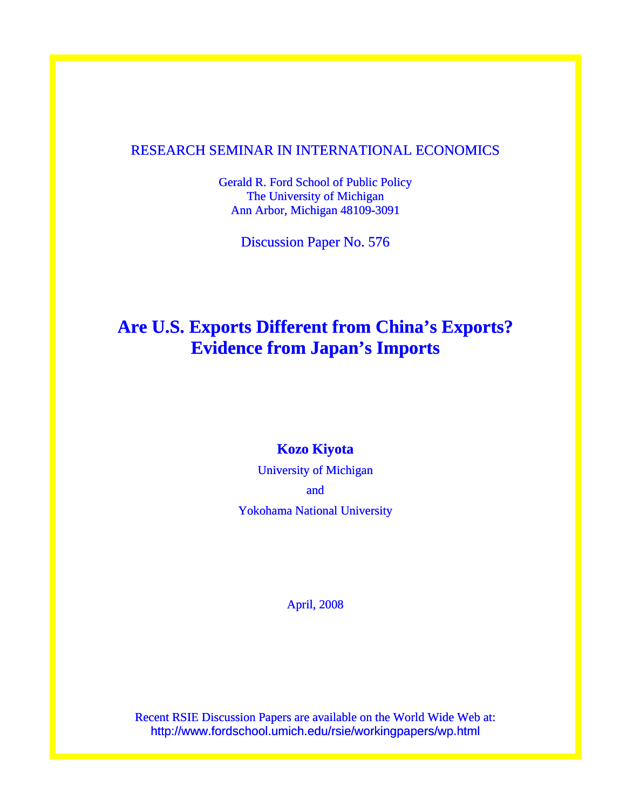## RESEARCH SEMINAR IN INTERNATIONAL ECONOMICS

Gerald R. Ford School of Public Policy The University of Michigan Ann Arbor, Michigan 48109-3091

Discussion Paper No. 576

# **Are U.S. Exports Different from China's Exports? Evidence from Japan's Imports**

## **Kozo Kiyota**

University of Michigan and Yokohama National University

April, 2008

Recent RSIE Discussion Papers are available on the World Wide Web at: http://www.fordschool.umich.edu/rsie/workingpapers/wp.html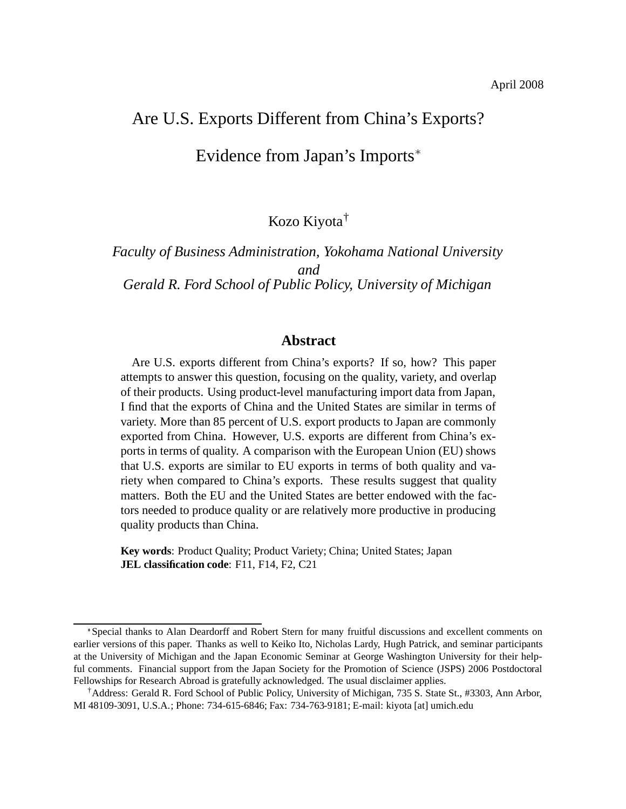## Are U.S. Exports Different from China's Exports?

Evidence from Japan's Imports

Kozo Kiyota†

*Faculty of Business Administration, Yokohama National University and Gerald R. Ford School of Public Policy, University of Michigan*

### **Abstract**

Are U.S. exports different from China's exports? If so, how? This paper attempts to answer this question, focusing on the quality, variety, and overlap of their products. Using product-level manufacturing import data from Japan, I find that the exports of China and the United States are similar in terms of variety. More than 85 percent of U.S. export products to Japan are commonly exported from China. However, U.S. exports are different from China's exports in terms of quality. A comparison with the European Union (EU) shows that U.S. exports are similar to EU exports in terms of both quality and variety when compared to China's exports. These results suggest that quality matters. Both the EU and the United States are better endowed with the factors needed to produce quality or are relatively more productive in producing quality products than China.

**Key words**: Product Quality; Product Variety; China; United States; Japan **JEL classification code**: F11, F14, F2, C21

<sup>\*</sup>Special thanks to Alan Deardorff and Robert Stern for many fruitful discussions and excellent comments on earlier versions of this paper. Thanks as well to Keiko Ito, Nicholas Lardy, Hugh Patrick, and seminar participants at the University of Michigan and the Japan Economic Seminar at George Washington University for their helpful comments. Financial support from the Japan Society for the Promotion of Science (JSPS) 2006 Postdoctoral Fellowships for Research Abroad is gratefully acknowledged. The usual disclaimer applies.

<sup>†</sup>Address: Gerald R. Ford School of Public Policy, University of Michigan, 735 S. State St., #3303, Ann Arbor, MI 48109-3091, U.S.A.; Phone: 734-615-6846; Fax: 734-763-9181; E-mail: kiyota [at] umich.edu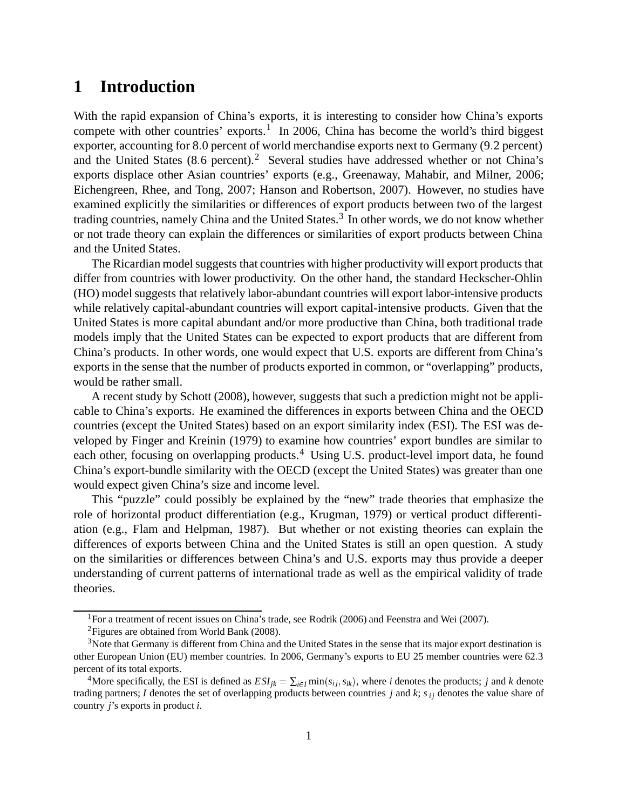# **1 Introduction**

With the rapid expansion of China's exports, it is interesting to consider how China's exports compete with other countries' exports.<sup>1</sup> In 2006, China has become the world's third biggest exporter, accounting for 8.0 percent of world merchandise exports next to Germany (9.2 percent) and the United States  $(8.6 \text{ percent})$ .<sup>2</sup> Several studies have addressed whether or not China's exports displace other Asian countries' exports (e.g., Greenaway, Mahabir, and Milner, 2006; Eichengreen, Rhee, and Tong, 2007; Hanson and Robertson, 2007). However, no studies have examined explicitly the similarities or differences of export products between two of the largest trading countries, namely China and the United States.<sup>3</sup> In other words, we do not know whether or not trade theory can explain the differences or similarities of export products between China and the United States.

The Ricardian model suggests that countries with higher productivity will export products that differ from countries with lower productivity. On the other hand, the standard Heckscher-Ohlin (HO) model suggests that relatively labor-abundant countries will export labor-intensive products while relatively capital-abundant countries will export capital-intensive products. Given that the United States is more capital abundant and/or more productive than China, both traditional trade models imply that the United States can be expected to export products that are different from China's products. In other words, one would expect that U.S. exports are different from China's exports in the sense that the number of products exported in common, or "overlapping" products, would be rather small.

A recent study by Schott (2008), however, suggests that such a prediction might not be applicable to China's exports. He examined the differences in exports between China and the OECD countries (except the United States) based on an export similarity index (ESI). The ESI was developed by Finger and Kreinin (1979) to examine how countries' export bundles are similar to each other, focusing on overlapping products.<sup>4</sup> Using U.S. product-level import data, he found China's export-bundle similarity with the OECD (except the United States) was greater than one would expect given China's size and income level.

This "puzzle" could possibly be explained by the "new" trade theories that emphasize the role of horizontal product differentiation (e.g., Krugman, 1979) or vertical product differentiation (e.g., Flam and Helpman, 1987). But whether or not existing theories can explain the differences of exports between China and the United States is still an open question. A study on the similarities or differences between China's and U.S. exports may thus provide a deeper understanding of current patterns of international trade as well as the empirical validity of trade theories.

<sup>&</sup>lt;sup>1</sup> For a treatment of recent issues on China's trade, see Rodrik (2006) and Feenstra and Wei (2007).

<sup>2</sup>Figures are obtained from World Bank (2008).

<sup>&</sup>lt;sup>3</sup>Note that Germany is different from China and the United States in the sense that its major export destination is other European Union (EU) member countries. In 2006, Germany's exports to EU 25 member countries were 623 percent of its total exports.

<sup>&</sup>lt;sup>4</sup>More specifically, the ESI is defined as  $ESI_{jk} = \sum_{i \in I} \min(s_{ij}, s_{ik})$ , where *i* denotes the products; *j* and *k* denote trading partners; *I* denotes the set of overlapping products between countries *j* and *k*; *si j* denotes the value share of country *j*'s exports in product *i*.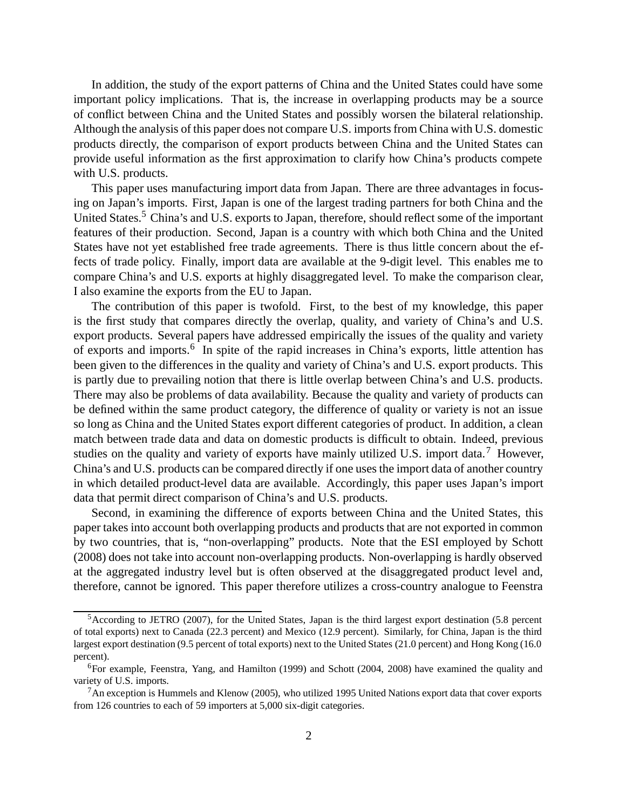In addition, the study of the export patterns of China and the United States could have some important policy implications. That is, the increase in overlapping products may be a source of conflict between China and the United States and possibly worsen the bilateral relationship. Although the analysis of this paper does not compare U.S. imports from China with U.S. domestic products directly, the comparison of export products between China and the United States can provide useful information as the first approximation to clarify how China's products compete with U.S. products.

This paper uses manufacturing import data from Japan. There are three advantages in focusing on Japan's imports. First, Japan is one of the largest trading partners for both China and the United States.<sup>5</sup> China's and U.S. exports to Japan, therefore, should reflect some of the important features of their production. Second, Japan is a country with which both China and the United States have not yet established free trade agreements. There is thus little concern about the effects of trade policy. Finally, import data are available at the 9-digit level. This enables me to compare China's and U.S. exports at highly disaggregated level. To make the comparison clear, I also examine the exports from the EU to Japan.

The contribution of this paper is twofold. First, to the best of my knowledge, this paper is the first study that compares directly the overlap, quality, and variety of China's and U.S. export products. Several papers have addressed empirically the issues of the quality and variety of exports and imports.<sup>6</sup> In spite of the rapid increases in China's exports, little attention has been given to the differences in the quality and variety of China's and U.S. export products. This is partly due to prevailing notion that there is little overlap between China's and U.S. products. There may also be problems of data availability. Because the quality and variety of products can be defined within the same product category, the difference of quality or variety is not an issue so long as China and the United States export different categories of product. In addition, a clean match between trade data and data on domestic products is difficult to obtain. Indeed, previous studies on the quality and variety of exports have mainly utilized U.S. import data.<sup>7</sup> However, China's and U.S. products can be compared directly if one uses the import data of another country in which detailed product-level data are available. Accordingly, this paper uses Japan's import data that permit direct comparison of China's and U.S. products.

Second, in examining the difference of exports between China and the United States, this paper takes into account both overlapping products and products that are not exported in common by two countries, that is, "non-overlapping" products. Note that the ESI employed by Schott (2008) does not take into account non-overlapping products. Non-overlapping is hardly observed at the aggregated industry level but is often observed at the disaggregated product level and, therefore, cannot be ignored. This paper therefore utilizes a cross-country analogue to Feenstra

<sup>5</sup>According to JETRO (2007), for the United States, Japan is the third largest export destination (5.8 percent of total exports) next to Canada (22.3 percent) and Mexico (12.9 percent). Similarly, for China, Japan is the third largest export destination (9.5 percent of total exports) next to the United States (21.0 percent) and Hong Kong (16.0 percent).

 $6$ For example, Feenstra, Yang, and Hamilton (1999) and Schott (2004, 2008) have examined the quality and variety of U.S. imports.

 $<sup>7</sup>$ An exception is Hummels and Klenow (2005), who utilized 1995 United Nations export data that cover exports</sup> from 126 countries to each of 59 importers at 5,000 six-digit categories.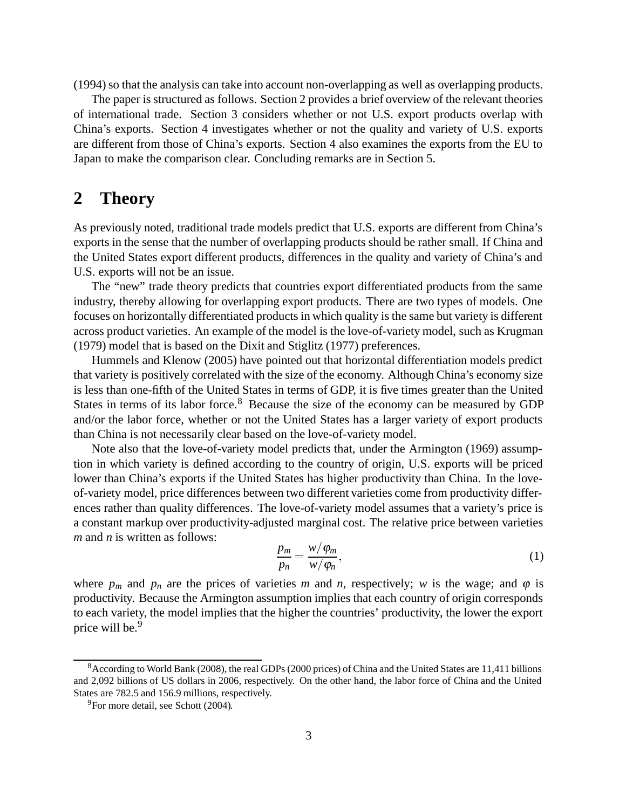(1994) so that the analysis can take into account non-overlapping as well as overlapping products.

The paper is structured as follows. Section 2 provides a brief overview of the relevant theories of international trade. Section 3 considers whether or not U.S. export products overlap with China's exports. Section 4 investigates whether or not the quality and variety of U.S. exports are different from those of China's exports. Section 4 also examines the exports from the EU to Japan to make the comparison clear. Concluding remarks are in Section 5.

# **2 Theory**

As previously noted, traditional trade models predict that U.S. exports are different from China's exports in the sense that the number of overlapping products should be rather small. If China and the United States export different products, differences in the quality and variety of China's and U.S. exports will not be an issue.

The "new" trade theory predicts that countries export differentiated products from the same industry, thereby allowing for overlapping export products. There are two types of models. One focuses on horizontally differentiated products in which quality is the same but variety is different across product varieties. An example of the model is the love-of-variety model, such as Krugman (1979) model that is based on the Dixit and Stiglitz (1977) preferences.

Hummels and Klenow (2005) have pointed out that horizontal differentiation models predict that variety is positively correlated with the size of the economy. Although China's economy size is less than one-fifth of the United States in terms of GDP, it is five times greater than the United States in terms of its labor force.<sup>8</sup> Because the size of the economy can be measured by GDP and/or the labor force, whether or not the United States has a larger variety of export products than China is not necessarily clear based on the love-of-variety model.

Note also that the love-of-variety model predicts that, under the Armington (1969) assumption in which variety is defined according to the country of origin, U.S. exports will be priced lower than China's exports if the United States has higher productivity than China. In the loveof-variety model, price differences between two different varieties come from productivity differences rather than quality differences. The love-of-variety model assumes that a variety's price is a constant markup over productivity-adjusted marginal cost. The relative price between varieties *m* and *n* is written as follows:

$$
\frac{p_m}{p_n} = \frac{w/\varphi_m}{w/\varphi_n},\tag{1}
$$

where  $p_m$  and  $p_n$  are the prices of varieties *m* and *n*, respectively; *w* is the wage; and  $\varphi$  is productivity. Because the Armington assumption implies that each country of origin corresponds to each variety, the model implies that the higher the countries' productivity, the lower the export price will be.<sup>9</sup>

<sup>8</sup>According to World Bank (2008), the real GDPs (2000 prices) of China and the United States are 11,411 billions and 2,092 billions of US dollars in 2006, respectively. On the other hand, the labor force of China and the United States are 782.5 and 156.9 millions, respectively.

<sup>&</sup>lt;sup>9</sup>For more detail, see Schott (2004).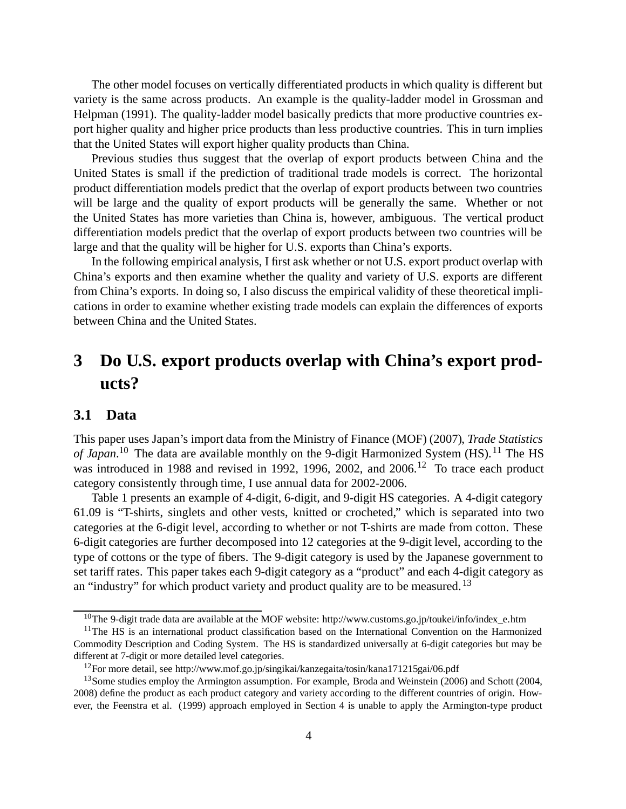The other model focuses on vertically differentiated products in which quality is different but variety is the same across products. An example is the quality-ladder model in Grossman and Helpman (1991). The quality-ladder model basically predicts that more productive countries export higher quality and higher price products than less productive countries. This in turn implies that the United States will export higher quality products than China.

Previous studies thus suggest that the overlap of export products between China and the United States is small if the prediction of traditional trade models is correct. The horizontal product differentiation models predict that the overlap of export products between two countries will be large and the quality of export products will be generally the same. Whether or not the United States has more varieties than China is, however, ambiguous. The vertical product differentiation models predict that the overlap of export products between two countries will be large and that the quality will be higher for U.S. exports than China's exports.

In the following empirical analysis, I first ask whether or not U.S. export product overlap with China's exports and then examine whether the quality and variety of U.S. exports are different from China's exports. In doing so, I also discuss the empirical validity of these theoretical implications in order to examine whether existing trade models can explain the differences of exports between China and the United States.

# **3 Do U.S. export products overlap with China's export products?**

## **3.1 Data**

This paper uses Japan's import data from the Ministry of Finance (MOF) (2007), *Trade Statistics* of Japan.<sup>10</sup> The data are available monthly on the 9-digit Harmonized System (HS).<sup>11</sup> The HS was introduced in 1988 and revised in 1992, 1996, 2002, and 2006.<sup>12</sup> To trace each product category consistently through time, I use annual data for 2002-2006.

Table 1 presents an example of 4-digit, 6-digit, and 9-digit HS categories. A 4-digit category 61.09 is "T-shirts, singlets and other vests, knitted or crocheted," which is separated into two categories at the 6-digit level, according to whether or not T-shirts are made from cotton. These 6-digit categories are further decomposed into 12 categories at the 9-digit level, according to the type of cottons or the type of fibers. The 9-digit category is used by the Japanese government to set tariff rates. This paper takes each 9-digit category as a "product" and each 4-digit category as an "industry" for which product variety and product quality are to be measured. <sup>13</sup>

<sup>&</sup>lt;sup>10</sup>The 9-digit trade data are available at the MOF website: http://www.customs.go.jp/toukei/info/index\_e.htm

 $11$ The HS is an international product classification based on the International Convention on the Harmonized Commodity Description and Coding System. The HS is standardized universally at 6-digit categories but may be different at 7-digit or more detailed level categories.

<sup>12</sup>For more detail, see http://www.mof.go.jp/singikai/kanzegaita/tosin/kana171215gai/06.pdf

<sup>&</sup>lt;sup>13</sup>Some studies employ the Armington assumption. For example, Broda and Weinstein (2006) and Schott (2004, 2008) define the product as each product category and variety according to the different countries of origin. However, the Feenstra et al. (1999) approach employed in Section 4 is unable to apply the Armington-type product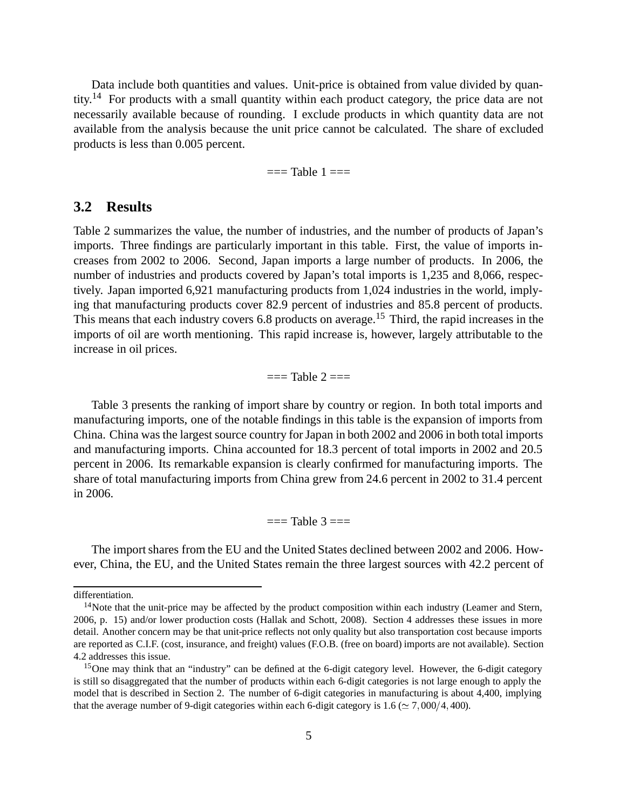Data include both quantities and values. Unit-price is obtained from value divided by quantity.<sup>14</sup> For products with a small quantity within each product category, the price data are not necessarily available because of rounding. I exclude products in which quantity data are not available from the analysis because the unit price cannot be calculated. The share of excluded products is less than 0.005 percent.

 $==$ Table  $1 ==$ 

## **3.2 Results**

Table 2 summarizes the value, the number of industries, and the number of products of Japan's imports. Three findings are particularly important in this table. First, the value of imports increases from 2002 to 2006. Second, Japan imports a large number of products. In 2006, the number of industries and products covered by Japan's total imports is 1,235 and 8,066, respectively. Japan imported 6,921 manufacturing products from 1,024 industries in the world, implying that manufacturing products cover 82.9 percent of industries and 85.8 percent of products. This means that each industry covers 6.8 products on average.<sup>15</sup> Third, the rapid increases in the imports of oil are worth mentioning. This rapid increase is, however, largely attributable to the increase in oil prices.

 $=$  Table  $2 ==$ 

Table 3 presents the ranking of import share by country or region. In both total imports and manufacturing imports, one of the notable findings in this table is the expansion of imports from China. China was the largest source country for Japan in both 2002 and 2006 in both total imports and manufacturing imports. China accounted for 18.3 percent of total imports in 2002 and 20.5 percent in 2006. Its remarkable expansion is clearly confirmed for manufacturing imports. The share of total manufacturing imports from China grew from 24.6 percent in 2002 to 31.4 percent in 2006.

 $==$ Table  $3 ==$ 

The import shares from the EU and the United States declined between 2002 and 2006. However, China, the EU, and the United States remain the three largest sources with 42.2 percent of

differentiation.

 $14$ Note that the unit-price may be affected by the product composition within each industry (Leamer and Stern, 2006, p. 15) and/or lower production costs (Hallak and Schott, 2008). Section 4 addresses these issues in more detail. Another concern may be that unit-price reflects not only quality but also transportation cost because imports are reported as C.I.F. (cost, insurance, and freight) values (F.O.B. (free on board) imports are not available). Section 4.2 addresses this issue.

<sup>15</sup>One may think that an "industry" can be defined at the 6-digit category level. However, the 6-digit category is still so disaggregated that the number of products within each 6-digit categories is not large enough to apply the model that is described in Section 2. The number of 6-digit categories in manufacturing is about 4,400, implying that the average number of 9-digit categories within each 6-digit category is  $1.6 \approx 7,000/4,400$ .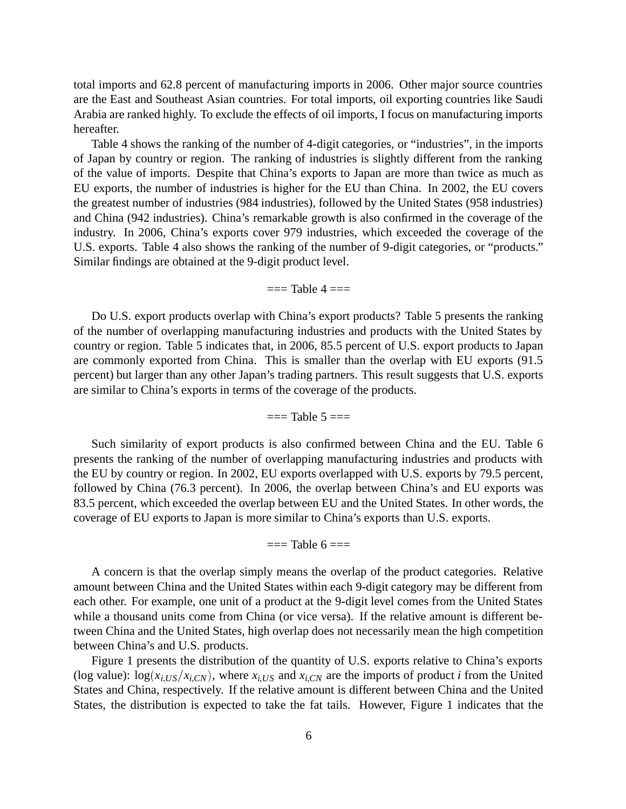total imports and 62.8 percent of manufacturing imports in 2006. Other major source countries are the East and Southeast Asian countries. For total imports, oil exporting countries like Saudi Arabia are ranked highly. To exclude the effects of oil imports, I focus on manufacturing imports hereafter.

Table 4 shows the ranking of the number of 4-digit categories, or "industries", in the imports of Japan by country or region. The ranking of industries is slightly different from the ranking of the value of imports. Despite that China's exports to Japan are more than twice as much as EU exports, the number of industries is higher for the EU than China. In 2002, the EU covers the greatest number of industries (984 industries), followed by the United States (958 industries) and China (942 industries). China's remarkable growth is also confirmed in the coverage of the industry. In 2006, China's exports cover 979 industries, which exceeded the coverage of the U.S. exports. Table 4 also shows the ranking of the number of 9-digit categories, or "products." Similar findings are obtained at the 9-digit product level.

#### $=$  Table  $4 =$

Do U.S. export products overlap with China's export products? Table 5 presents the ranking of the number of overlapping manufacturing industries and products with the United States by country or region. Table 5 indicates that, in 2006, 85.5 percent of U.S. export products to Japan are commonly exported from China. This is smaller than the overlap with EU exports (91.5 percent) but larger than any other Japan's trading partners. This result suggests that U.S. exports are similar to China's exports in terms of the coverage of the products.

#### $==$ Table  $5 ==$

Such similarity of export products is also confirmed between China and the EU. Table 6 presents the ranking of the number of overlapping manufacturing industries and products with the EU by country or region. In 2002, EU exports overlapped with U.S. exports by 79.5 percent, followed by China (76.3 percent). In 2006, the overlap between China's and EU exports was 83.5 percent, which exceeded the overlap between EU and the United States. In other words, the coverage of EU exports to Japan is more similar to China's exports than U.S. exports.

 $==$  Table 6  $==$ 

A concern is that the overlap simply means the overlap of the product categories. Relative amount between China and the United States within each 9-digit category may be different from each other. For example, one unit of a product at the 9-digit level comes from the United States while a thousand units come from China (or vice versa). If the relative amount is different between China and the United States, high overlap does not necessarily mean the high competition between China's and U.S. products.

Figure 1 presents the distribution of the quantity of U.S. exports relative to China's exports (log value):  $\log(x_{i,US}/x_{i,CN})$ , where  $x_{i,US}$  and  $x_{i,CN}$  are the imports of product *i* from the United States and China, respectively. If the relative amount is different between China and the United States, the distribution is expected to take the fat tails. However, Figure 1 indicates that the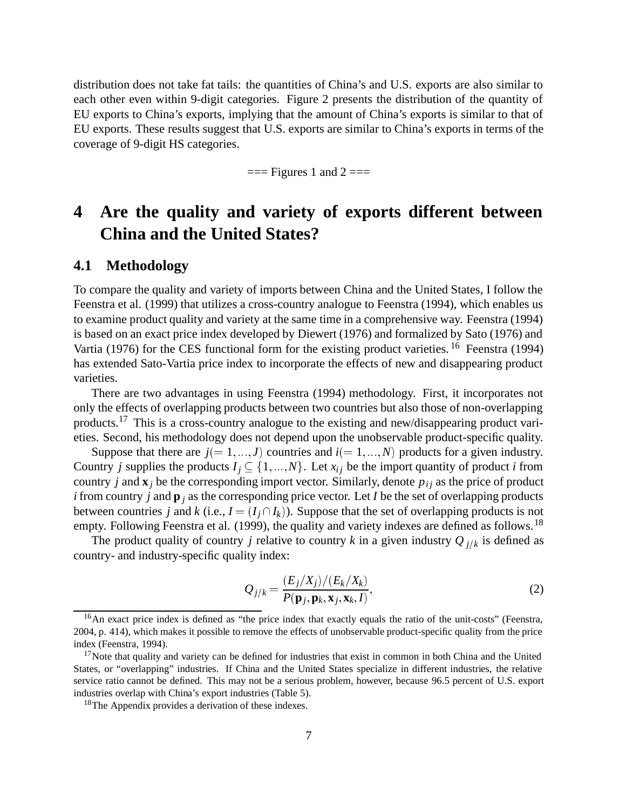distribution does not take fat tails: the quantities of China's and U.S. exports are also similar to each other even within 9-digit categories. Figure 2 presents the distribution of the quantity of EU exports to China's exports, implying that the amount of China's exports is similar to that of EU exports. These results suggest that U.S. exports are similar to China's exports in terms of the coverage of 9-digit HS categories.

 $==$  Figures 1 and 2  $==$ 

# **4 Are the quality and variety of exports different between China and the United States?**

### **4.1 Methodology**

To compare the quality and variety of imports between China and the United States, I follow the Feenstra et al. (1999) that utilizes a cross-country analogue to Feenstra (1994), which enables us to examine product quality and variety at the same time in a comprehensive way. Feenstra (1994) is based on an exact price index developed by Diewert (1976) and formalized by Sato (1976) and Vartia (1976) for the CES functional form for the existing product varieties. <sup>16</sup> Feenstra (1994) has extended Sato-Vartia price index to incorporate the effects of new and disappearing product varieties.

There are two advantages in using Feenstra (1994) methodology. First, it incorporates not only the effects of overlapping products between two countries but also those of non-overlapping products.17 This is a cross-country analogue to the existing and new/disappearing product varieties. Second, his methodology does not depend upon the unobservable product-specific quality.

Suppose that there are  $j(=1,...,J)$  countries and  $i(=1,...,N)$  products for a given industry. Country *j* supplies the products  $I_j \subseteq \{1, ..., N\}$ . Let  $x_{ij}$  be the import quantity of product *i* from country *j* and  $\mathbf{x}_i$  be the corresponding import vector. Similarly, denote  $p_{ij}$  as the price of product *i* from country *j* and **p** *<sup>j</sup>* as the corresponding price vector. Let *I* be the set of overlapping products between countries *j* and *k* (i.e.,  $I = (I_j \cap I_k)$ ). Suppose that the set of overlapping products is not empty. Following Feenstra et al. (1999), the quality and variety indexes are defined as follows.<sup>18</sup>

The product quality of country *j* relative to country *k* in a given industry  $Q_{j/k}$  is defined as country- and industry-specific quality index:

$$
Q_{j/k} = \frac{(E_j/X_j)/(E_k/X_k)}{P(\mathbf{p}_j, \mathbf{p}_k, \mathbf{x}_j, \mathbf{x}_k, I)},
$$
\n(2)

<sup>&</sup>lt;sup>16</sup>An exact price index is defined as "the price index that exactly equals the ratio of the unit-costs" (Feenstra, 2004, p. 414), which makes it possible to remove the effects of unobservable product-specific quality from the price index (Feenstra, 1994).

<sup>&</sup>lt;sup>17</sup>Note that quality and variety can be defined for industries that exist in common in both China and the United States, or "overlapping" industries. If China and the United States specialize in different industries, the relative service ratio cannot be defined. This may not be a serious problem, however, because 96.5 percent of U.S. export industries overlap with China's export industries (Table 5).

<sup>18</sup>The Appendix provides a derivation of these indexes.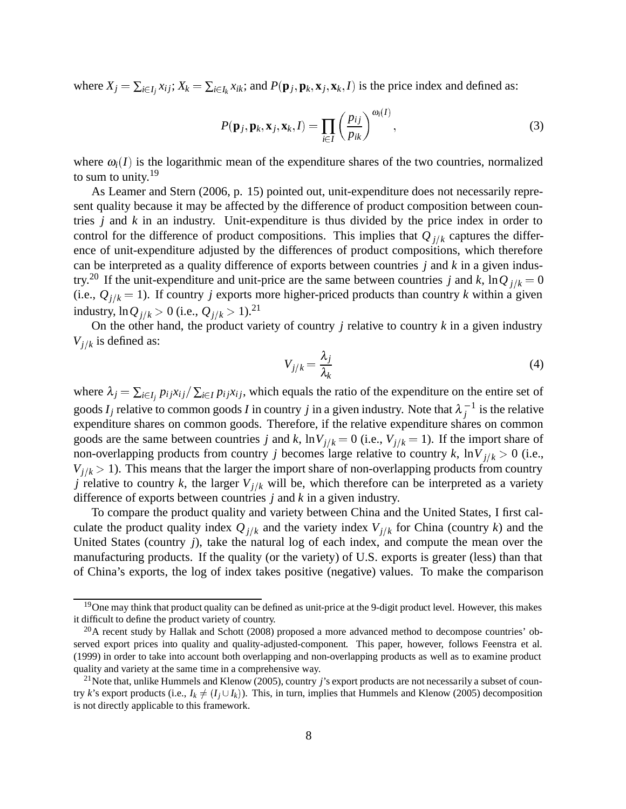where  $X_j = \sum_{i \in I_j} x_{ij}$ ;  $X_k = \sum_{i \in I_k} x_{ik}$ ; and  $P(\mathbf{p}_j, \mathbf{p}_k, \mathbf{x}_j, \mathbf{x}_k, I)$  is the price index and defined as:

$$
P(\mathbf{p}_j, \mathbf{p}_k, \mathbf{x}_j, \mathbf{x}_k, I) = \prod_{i \in I} \left(\frac{p_{ij}}{p_{ik}}\right)^{\omega_i(I)},\tag{3}
$$

where  $\omega_i(I)$  is the logarithmic mean of the expenditure shares of the two countries, normalized to sum to unity. $19$ 

As Leamer and Stern (2006, p. 15) pointed out, unit-expenditure does not necessarily represent quality because it may be affected by the difference of product composition between countries *j* and *k* in an industry. Unit-expenditure is thus divided by the price index in order to control for the difference of product compositions. This implies that  $Q_{j/k}$  captures the difference of unit-expenditure adjusted by the differences of product compositions, which therefore can be interpreted as a quality difference of exports between countries *j* and *k* in a given industry.<sup>20</sup> If the unit-expenditure and unit-price are the same between countries *j* and *k*,  $\ln Q_{j/k} = 0$ (i.e.,  $Q_{j/k} = 1$ ). If country *j* exports more higher-priced products than country *k* within a given industry,  $\ln Q_{j/k} > 0$  (i.e.,  $Q_{j/k} > 1$ ).<sup>21</sup>

On the other hand, the product variety of country  $j$  relative to country  $k$  in a given industry  $V_{j/k}$  is defined as:

$$
V_{j/k} = \frac{\lambda_j}{\lambda_k} \tag{4}
$$

where  $\lambda_j = \sum_{i \in I_j} p_{ij} x_{ij} / \sum_{i \in I} p_{ij} x_{ij}$ , which equals the ratio of the expenditure on the entire set of goods  $I_j$  relative to common goods *I* in country *j* in a given industry. Note that  $\lambda_j^{-1}$  is the relative expenditure shares on common goods. Therefore, if the relative expenditure shares on common goods are the same between countries *j* and *k*,  $\ln V_{j/k} = 0$  (i.e.,  $V_{j/k} = 1$ ). If the import share of non-overlapping products from country *j* becomes large relative to country *k*,  $\ln V_{j/k} > 0$  (i.e.,  $V_{j/k} > 1$ ). This means that the larger the import share of non-overlapping products from country *j* relative to country *k*, the larger  $V_{j/k}$  will be, which therefore can be interpreted as a variety difference of exports between countries *j* and *k* in a given industry.

To compare the product quality and variety between China and the United States, I first calculate the product quality index  $Q_{j/k}$  and the variety index  $V_{j/k}$  for China (country *k*) and the United States (country *j*), take the natural log of each index, and compute the mean over the manufacturing products. If the quality (or the variety) of U.S. exports is greater (less) than that of China's exports, the log of index takes positive (negative) values. To make the comparison

<sup>&</sup>lt;sup>19</sup>One may think that product quality can be defined as unit-price at the 9-digit product level. However, this makes it difficult to define the product variety of country.

<sup>&</sup>lt;sup>20</sup>A recent study by Hallak and Schott (2008) proposed a more advanced method to decompose countries' observed export prices into quality and quality-adjusted-component. This paper, however, follows Feenstra et al. (1999) in order to take into account both overlapping and non-overlapping products as well as to examine product quality and variety at the same time in a comprehensive way.

<sup>&</sup>lt;sup>21</sup>Note that, unlike Hummels and Klenow (2005), country *j*'s export products are not necessarily a subset of country *k*'s export products (i.e.,  $I_k \neq (I_j \cup I_k)$ ). This, in turn, implies that Hummels and Klenow (2005) decomposition is not directly applicable to this framework.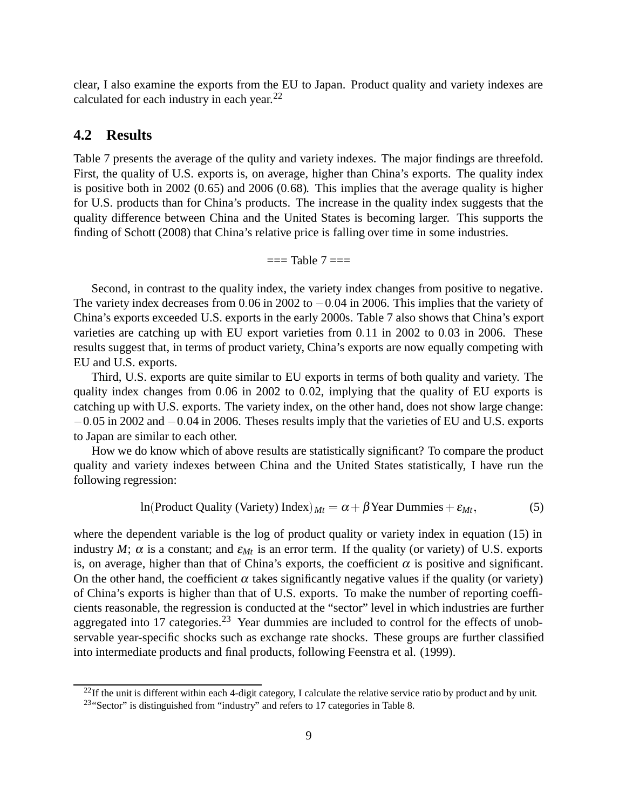clear, I also examine the exports from the EU to Japan. Product quality and variety indexes are calculated for each industry in each year.<sup>22</sup>

### **4.2 Results**

Table 7 presents the average of the qulity and variety indexes. The major findings are threefold. First, the quality of U.S. exports is, on average, higher than China's exports. The quality index is positive both in 2002 (0.65) and 2006 (0.68). This implies that the average quality is higher for U.S. products than for China's products. The increase in the quality index suggests that the quality difference between China and the United States is becoming larger. This supports the finding of Schott (2008) that China's relative price is falling over time in some industries.

 $==$ Table  $7 ==$ 

Second, in contrast to the quality index, the variety index changes from positive to negative. The variety index decreases from  $0.06$  in 2002 to  $-0.04$  in 2006. This implies that the variety of China's exports exceeded U.S. exports in the early 2000s. Table 7 also shows that China's export varieties are catching up with EU export varieties from  $0.11$  in 2002 to  $0.03$  in 2006. These results suggest that, in terms of product variety, China's exports are now equally competing with EU and U.S. exports.

Third, U.S. exports are quite similar to EU exports in terms of both quality and variety. The quality index changes from  $0.06$  in  $2002$  to  $0.02$ , implying that the quality of EU exports is catching up with U.S. exports. The variety index, on the other hand, does not show large change:  $-0.05$  in 2002 and  $-0.04$  in 2006. Theses results imply that the varieties of EU and U.S. exports to Japan are similar to each other.

How we do know which of above results are statistically significant? To compare the product quality and variety indexes between China and the United States statistically, I have run the following regression:

$$
ln(Product Quality (Variety) Index)_{Mt} = \alpha + \beta Year Dummies + \varepsilon_{Mt},
$$
\n(5)

where the dependent variable is the log of product quality or variety index in equation (15) in industry *M*;  $\alpha$  is a constant; and  $\varepsilon_{Mt}$  is an error term. If the quality (or variety) of U.S. exports is, on average, higher than that of China's exports, the coefficient  $\alpha$  is positive and significant. On the other hand, the coefficient  $\alpha$  takes significantly negative values if the quality (or variety) of China's exports is higher than that of U.S. exports. To make the number of reporting coefficients reasonable, the regression is conducted at the "sector" level in which industries are further aggregated into 17 categories.<sup>23</sup> Year dummies are included to control for the effects of unobservable year-specific shocks such as exchange rate shocks. These groups are further classified into intermediate products and final products, following Feenstra et al. (1999).

 $^{22}$ If the unit is different within each 4-digit category, I calculate the relative service ratio by product and by unit.

<sup>&</sup>lt;sup>23</sup>"Sector" is distinguished from "industry" and refers to 17 categories in Table 8.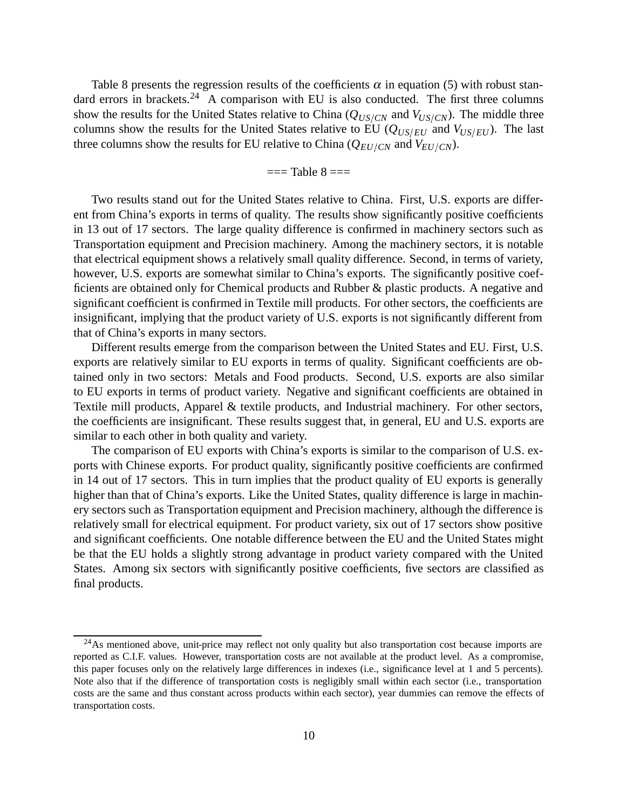Table 8 presents the regression results of the coefficients  $\alpha$  in equation (5) with robust standard errors in brackets.<sup>24</sup> A comparison with EU is also conducted. The first three columns show the results for the United States relative to China  $(Q_{US/CN})$  and  $V_{US/CN}$ ). The middle three columns show the results for the United States relative to EU  $(Q_{US/EU})$  and  $V_{US/EU}$ ). The last three columns show the results for EU relative to China ( $Q_{EU/CN}$  and  $V_{EU/CN}$ ).

#### $==$  Table  $8 ==$

Two results stand out for the United States relative to China. First, U.S. exports are different from China's exports in terms of quality. The results show significantly positive coefficients in 13 out of 17 sectors. The large quality difference is confirmed in machinery sectors such as Transportation equipment and Precision machinery. Among the machinery sectors, it is notable that electrical equipment shows a relatively small quality difference. Second, in terms of variety, however, U.S. exports are somewhat similar to China's exports. The significantly positive coefficients are obtained only for Chemical products and Rubber & plastic products. A negative and significant coefficient is confirmed in Textile mill products. For other sectors, the coefficients are insignificant, implying that the product variety of U.S. exports is not significantly different from that of China's exports in many sectors.

Different results emerge from the comparison between the United States and EU. First, U.S. exports are relatively similar to EU exports in terms of quality. Significant coefficients are obtained only in two sectors: Metals and Food products. Second, U.S. exports are also similar to EU exports in terms of product variety. Negative and significant coefficients are obtained in Textile mill products, Apparel & textile products, and Industrial machinery. For other sectors, the coefficients are insignificant. These results suggest that, in general, EU and U.S. exports are similar to each other in both quality and variety.

The comparison of EU exports with China's exports is similar to the comparison of U.S. exports with Chinese exports. For product quality, significantly positive coefficients are confirmed in 14 out of 17 sectors. This in turn implies that the product quality of EU exports is generally higher than that of China's exports. Like the United States, quality difference is large in machinery sectors such as Transportation equipment and Precision machinery, although the difference is relatively small for electrical equipment. For product variety, six out of 17 sectors show positive and significant coefficients. One notable difference between the EU and the United States might be that the EU holds a slightly strong advantage in product variety compared with the United States. Among six sectors with significantly positive coefficients, five sectors are classified as final products.

<sup>&</sup>lt;sup>24</sup>As mentioned above, unit-price may reflect not only quality but also transportation cost because imports are reported as C.I.F. values. However, transportation costs are not available at the product level. As a compromise, this paper focuses only on the relatively large differences in indexes (i.e., significance level at 1 and 5 percents). Note also that if the difference of transportation costs is negligibly small within each sector (i.e., transportation costs are the same and thus constant across products within each sector), year dummies can remove the effects of transportation costs.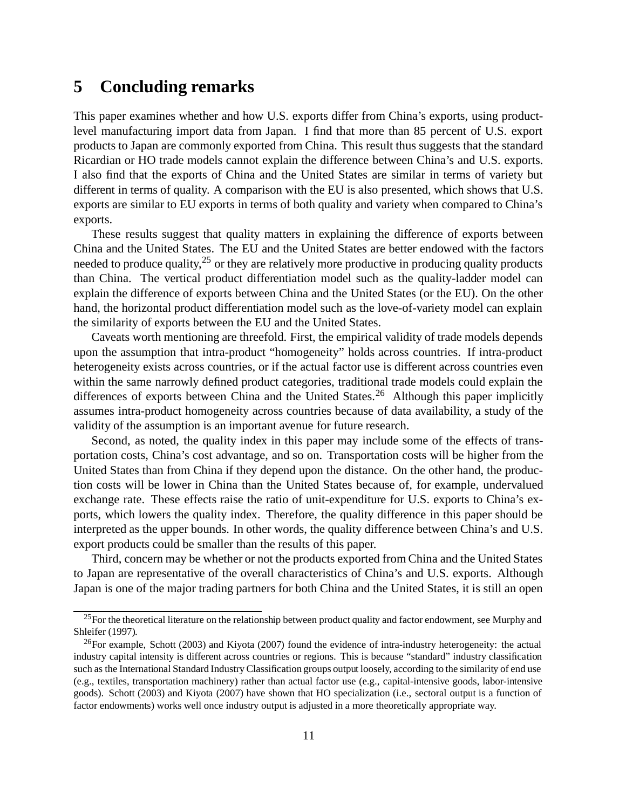# **5 Concluding remarks**

This paper examines whether and how U.S. exports differ from China's exports, using productlevel manufacturing import data from Japan. I find that more than 85 percent of U.S. export products to Japan are commonly exported from China. This result thus suggests that the standard Ricardian or HO trade models cannot explain the difference between China's and U.S. exports. I also find that the exports of China and the United States are similar in terms of variety but different in terms of quality. A comparison with the EU is also presented, which shows that U.S. exports are similar to EU exports in terms of both quality and variety when compared to China's exports.

These results suggest that quality matters in explaining the difference of exports between China and the United States. The EU and the United States are better endowed with the factors needed to produce quality,  $2^5$  or they are relatively more productive in producing quality products than China. The vertical product differentiation model such as the quality-ladder model can explain the difference of exports between China and the United States (or the EU). On the other hand, the horizontal product differentiation model such as the love-of-variety model can explain the similarity of exports between the EU and the United States.

Caveats worth mentioning are threefold. First, the empirical validity of trade models depends upon the assumption that intra-product "homogeneity" holds across countries. If intra-product heterogeneity exists across countries, or if the actual factor use is different across countries even within the same narrowly defined product categories, traditional trade models could explain the differences of exports between China and the United States.<sup>26</sup> Although this paper implicitly assumes intra-product homogeneity across countries because of data availability, a study of the validity of the assumption is an important avenue for future research.

Second, as noted, the quality index in this paper may include some of the effects of transportation costs, China's cost advantage, and so on. Transportation costs will be higher from the United States than from China if they depend upon the distance. On the other hand, the production costs will be lower in China than the United States because of, for example, undervalued exchange rate. These effects raise the ratio of unit-expenditure for U.S. exports to China's exports, which lowers the quality index. Therefore, the quality difference in this paper should be interpreted as the upper bounds. In other words, the quality difference between China's and U.S. export products could be smaller than the results of this paper.

Third, concern may be whether or not the products exported from China and the United States to Japan are representative of the overall characteristics of China's and U.S. exports. Although Japan is one of the major trading partners for both China and the United States, it is still an open

 $^{25}$  For the theoretical literature on the relationship between product quality and factor endowment, see Murphy and Shleifer (1997).

 $^{26}$ For example, Schott (2003) and Kiyota (2007) found the evidence of intra-industry heterogeneity: the actual industry capital intensity is different across countries or regions. This is because "standard" industry classification such as the International Standard Industry Classification groups output loosely, according to the similarity of end use (e.g., textiles, transportation machinery) rather than actual factor use (e.g., capital-intensive goods, labor-intensive goods). Schott (2003) and Kiyota (2007) have shown that HO specialization (i.e., sectoral output is a function of factor endowments) works well once industry output is adjusted in a more theoretically appropriate way.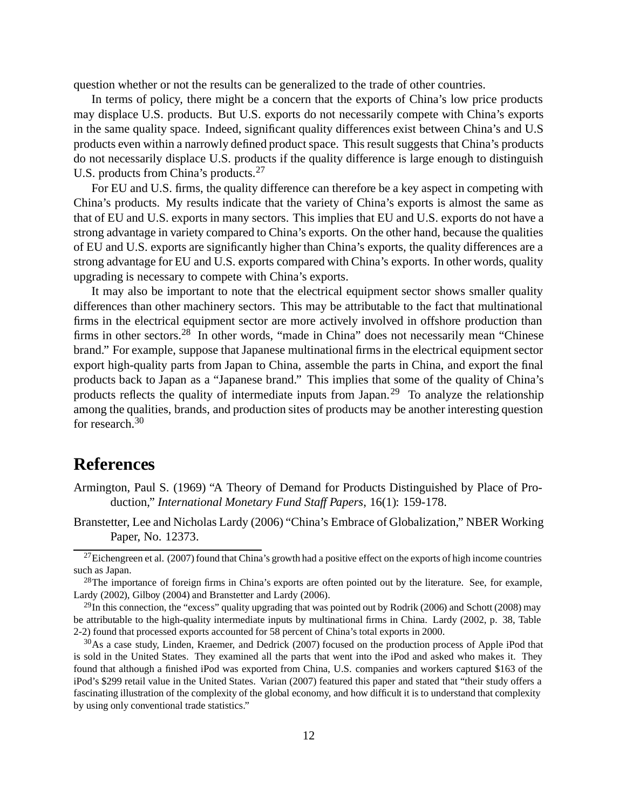question whether or not the results can be generalized to the trade of other countries.

In terms of policy, there might be a concern that the exports of China's low price products may displace U.S. products. But U.S. exports do not necessarily compete with China's exports in the same quality space. Indeed, significant quality differences exist between China's and U.S products even within a narrowly defined product space. This result suggests that China's products do not necessarily displace U.S. products if the quality difference is large enough to distinguish U.S. products from China's products.<sup>27</sup>

For EU and U.S. firms, the quality difference can therefore be a key aspect in competing with China's products. My results indicate that the variety of China's exports is almost the same as that of EU and U.S. exports in many sectors. This implies that EU and U.S. exports do not have a strong advantage in variety compared to China's exports. On the other hand, because the qualities of EU and U.S. exports are significantly higher than China's exports, the quality differences are a strong advantage for EU and U.S. exports compared with China's exports. In other words, quality upgrading is necessary to compete with China's exports.

It may also be important to note that the electrical equipment sector shows smaller quality differences than other machinery sectors. This may be attributable to the fact that multinational firms in the electrical equipment sector are more actively involved in offshore production than firms in other sectors.<sup>28</sup> In other words, "made in China" does not necessarily mean "Chinese" brand." For example, suppose that Japanese multinational firms in the electrical equipment sector export high-quality parts from Japan to China, assemble the parts in China, and export the final products back to Japan as a "Japanese brand." This implies that some of the quality of China's products reflects the quality of intermediate inputs from Japan.<sup>29</sup> To analyze the relationship among the qualities, brands, and production sites of products may be another interesting question for research.<sup>30</sup>

## **References**

Armington, Paul S. (1969) "A Theory of Demand for Products Distinguished by Place of Production," *International Monetary Fund Staff Papers*, 16(1): 159-178.

Branstetter, Lee and Nicholas Lardy (2006) "China's Embrace of Globalization," NBER Working Paper, No. 12373.

 $^{27}$ Eichengreen et al. (2007) found that China's growth had a positive effect on the exports of high income countries such as Japan.

 $28$ The importance of foreign firms in China's exports are often pointed out by the literature. See, for example, Lardy (2002), Gilboy (2004) and Branstetter and Lardy (2006).

 $^{29}$ In this connection, the "excess" quality upgrading that was pointed out by Rodrik (2006) and Schott (2008) may be attributable to the high-quality intermediate inputs by multinational firms in China. Lardy (2002, p. 38, Table 2-2) found that processed exports accounted for 58 percent of China's total exports in 2000.

<sup>&</sup>lt;sup>30</sup>As a case study, Linden, Kraemer, and Dedrick (2007) focused on the production process of Apple iPod that is sold in the United States. They examined all the parts that went into the iPod and asked who makes it. They found that although a finished iPod was exported from China, U.S. companies and workers captured \$163 of the iPod's \$299 retail value in the United States. Varian (2007) featured this paper and stated that "their study offers a fascinating illustration of the complexity of the global economy, and how difficult it is to understand that complexity by using only conventional trade statistics."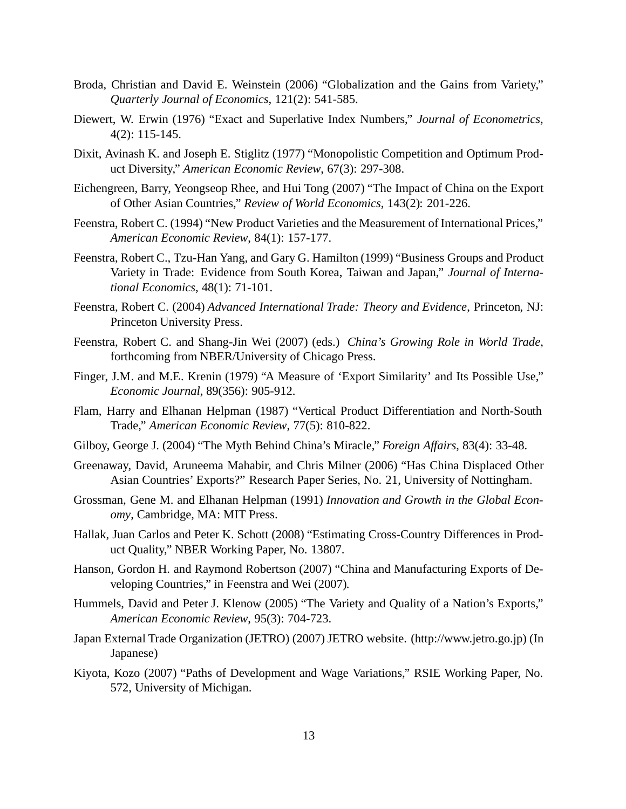- Broda, Christian and David E. Weinstein (2006) "Globalization and the Gains from Variety," *Quarterly Journal of Economics*, 121(2): 541-585.
- Diewert, W. Erwin (1976) "Exact and Superlative Index Numbers," *Journal of Econometrics*, 4(2): 115-145.
- Dixit, Avinash K. and Joseph E. Stiglitz (1977) "Monopolistic Competition and Optimum Product Diversity," *American Economic Review*, 67(3): 297-308.
- Eichengreen, Barry, Yeongseop Rhee, and Hui Tong (2007) "The Impact of China on the Export of Other Asian Countries," *Review of World Economics*, 143(2): 201-226.
- Feenstra, Robert C. (1994) "New Product Varieties and the Measurement of International Prices," *American Economic Review*, 84(1): 157-177.
- Feenstra, Robert C., Tzu-Han Yang, and Gary G. Hamilton (1999) "Business Groups and Product Variety in Trade: Evidence from South Korea, Taiwan and Japan," *Journal of International Economics*, 48(1): 71-101.
- Feenstra, Robert C. (2004) *Advanced International Trade: Theory and Evidence*, Princeton, NJ: Princeton University Press.
- Feenstra, Robert C. and Shang-Jin Wei (2007) (eds.) *China's Growing Role in World Trade*, forthcoming from NBER/University of Chicago Press.
- Finger, J.M. and M.E. Krenin (1979) "A Measure of 'Export Similarity' and Its Possible Use," *Economic Journal*, 89(356): 905-912.
- Flam, Harry and Elhanan Helpman (1987) "Vertical Product Differentiation and North-South Trade," *American Economic Review*, 77(5): 810-822.
- Gilboy, George J. (2004) "The Myth Behind China's Miracle," *Foreign Affairs*, 83(4): 33-48.
- Greenaway, David, Aruneema Mahabir, and Chris Milner (2006) "Has China Displaced Other Asian Countries' Exports?" Research Paper Series, No. 21, University of Nottingham.
- Grossman, Gene M. and Elhanan Helpman (1991) *Innovation and Growth in the Global Economy*, Cambridge, MA: MIT Press.
- Hallak, Juan Carlos and Peter K. Schott (2008) "Estimating Cross-Country Differences in Product Quality," NBER Working Paper, No. 13807.
- Hanson, Gordon H. and Raymond Robertson (2007) "China and Manufacturing Exports of Developing Countries," in Feenstra and Wei (2007).
- Hummels, David and Peter J. Klenow (2005) "The Variety and Quality of a Nation's Exports," *American Economic Review*, 95(3): 704-723.
- Japan External Trade Organization (JETRO) (2007) JETRO website. (http://www.jetro.go.jp) (In Japanese)
- Kiyota, Kozo (2007) "Paths of Development and Wage Variations," RSIE Working Paper, No. 572, University of Michigan.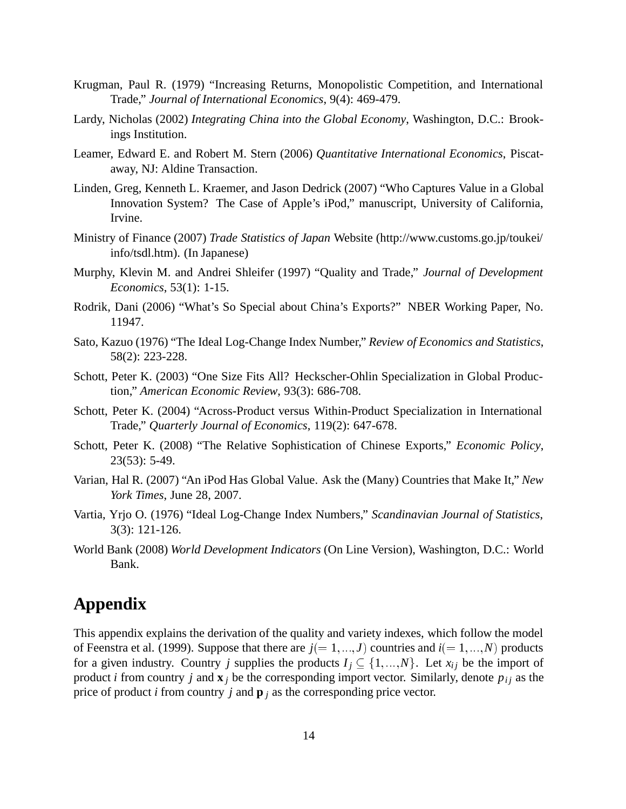- Krugman, Paul R. (1979) "Increasing Returns, Monopolistic Competition, and International Trade," *Journal of International Economics*, 9(4): 469-479.
- Lardy, Nicholas (2002) *Integrating China into the Global Economy*, Washington, D.C.: Brookings Institution.
- Leamer, Edward E. and Robert M. Stern (2006) *Quantitative International Economics*, Piscataway, NJ: Aldine Transaction.
- Linden, Greg, Kenneth L. Kraemer, and Jason Dedrick (2007) "Who Captures Value in a Global Innovation System? The Case of Apple's iPod," manuscript, University of California, Irvine.
- Ministry of Finance (2007) *Trade Statistics of Japan* Website (http://www.customs.go.jp/toukei/ info/tsdl.htm). (In Japanese)
- Murphy, Klevin M. and Andrei Shleifer (1997) "Quality and Trade," *Journal of Development Economics*, 53(1): 1-15.
- Rodrik, Dani (2006) "What's So Special about China's Exports?" NBER Working Paper, No. 11947.
- Sato, Kazuo (1976) "The Ideal Log-Change Index Number," *Review of Economics and Statistics*, 58(2): 223-228.
- Schott, Peter K. (2003) "One Size Fits All? Heckscher-Ohlin Specialization in Global Production," *American Economic Review*, 93(3): 686-708.
- Schott, Peter K. (2004) "Across-Product versus Within-Product Specialization in International Trade," *Quarterly Journal of Economics*, 119(2): 647-678.
- Schott, Peter K. (2008) "The Relative Sophistication of Chinese Exports," *Economic Policy*, 23(53): 5-49.
- Varian, Hal R. (2007) "An iPod Has Global Value. Ask the (Many) Countries that Make It," *New York Times*, June 28, 2007.
- Vartia, Yrjo O. (1976) "Ideal Log-Change Index Numbers," *Scandinavian Journal of Statistics*, 3(3): 121-126.
- World Bank (2008) *World Development Indicators* (On Line Version), Washington, D.C.: World Bank.

# **Appendix**

This appendix explains the derivation of the quality and variety indexes, which follow the model of Feenstra et al. (1999). Suppose that there are  $j(=1, ..., J)$  countries and  $i(=1, ..., N)$  products for a given industry. Country *j* supplies the products  $I_j \subseteq \{1, ..., N\}$ . Let  $x_{ij}$  be the import of product *i* from country *j* and  $\mathbf{x}_i$  be the corresponding import vector. Similarly, denote  $p_{ij}$  as the price of product *i* from country *j* and  $\mathbf{p}_i$  as the corresponding price vector.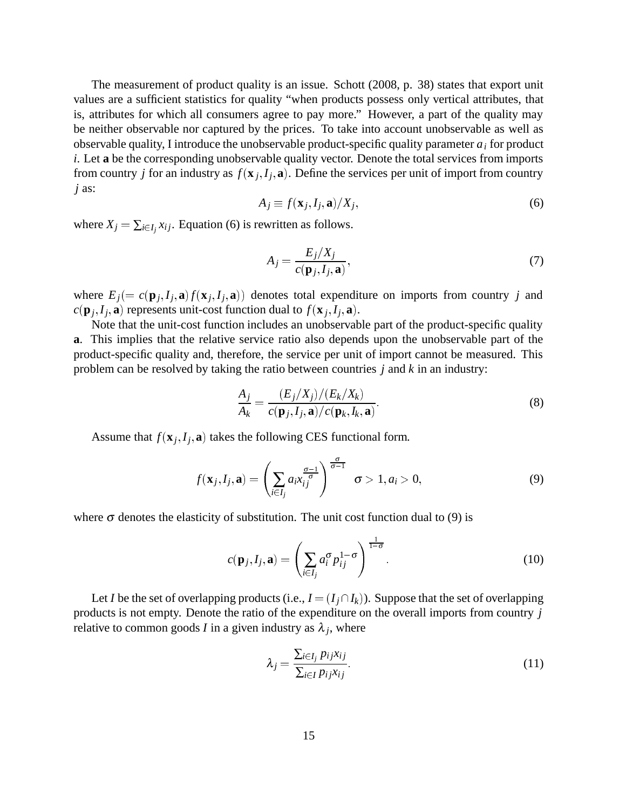The measurement of product quality is an issue. Schott (2008, p. 38) states that export unit values are a sufficient statistics for quality "when products possess only vertical attributes, that is, attributes for which all consumers agree to pay more." However, a part of the quality may be neither observable nor captured by the prices. To take into account unobservable as well as observable quality, I introduce the unobservable product-specific quality parameter *ai* for product *i*. Let **a** be the corresponding unobservable quality vector. Denote the total services from imports from country *j* for an industry as  $f(\mathbf{x}_j, I_j, \mathbf{a})$ . Define the services per unit of import from country *j* as:

$$
A_j \equiv f(\mathbf{x}_j, I_j, \mathbf{a}) / X_j,\tag{6}
$$

where  $X_j = \sum_{i \in I_j} x_{ij}$ . Equation (6) is rewritten as follows.

$$
A_j = \frac{E_j/X_j}{c(\mathbf{p}_j, I_j, \mathbf{a})},\tag{7}
$$

where  $E_j (= c(\mathbf{p}_j, I_j, \mathbf{a}) f(\mathbf{x}_j, I_j, \mathbf{a}))$  denotes total expenditure on imports from country *j* and  $c(\mathbf{p}_j, I_j, \mathbf{a})$  represents unit-cost function dual to  $f(\mathbf{x}_j, I_j, \mathbf{a})$ .

Note that the unit-cost function includes an unobservable part of the product-specific quality **a**. This implies that the relative service ratio also depends upon the unobservable part of the product-specific quality and, therefore, the service per unit of import cannot be measured. This problem can be resolved by taking the ratio between countries *j* and *k* in an industry:

$$
\frac{A_j}{A_k} = \frac{(E_j/X_j)/(E_k/X_k)}{c(\mathbf{p}_j, I_j, \mathbf{a})/c(\mathbf{p}_k, I_k, \mathbf{a})}.
$$
\n(8)

Assume that  $f(\mathbf{x}_j, I_j, \mathbf{a})$  takes the following CES functional form.

$$
f(\mathbf{x}_j, I_j, \mathbf{a}) = \left(\sum_{i \in I_j} a_i x_{ij}^{\frac{\sigma-1}{\sigma}}\right)^{\frac{\sigma}{\sigma-1}} \quad \sigma > 1, a_i > 0,
$$
\n
$$
(9)
$$

where  $\sigma$  denotes the elasticity of substitution. The unit cost function dual to (9) is

$$
c(\mathbf{p}_j, I_j, \mathbf{a}) = \left(\sum_{i \in I_j} a_i^{\sigma} p_{ij}^{1-\sigma}\right)^{\frac{1}{1-\sigma}}.
$$
 (10)

Let *I* be the set of overlapping products (i.e.,  $I = (I_j \cap I_k)$ ). Suppose that the set of overlapping products is not empty. Denote the ratio of the expenditure on the overall imports from country *j* relative to common goods *I* in a given industry as  $\lambda_j$ , where

$$
\lambda_j = \frac{\sum_{i \in I_j} p_{ij} x_{ij}}{\sum_{i \in I} p_{ij} x_{ij}}.
$$
\n(11)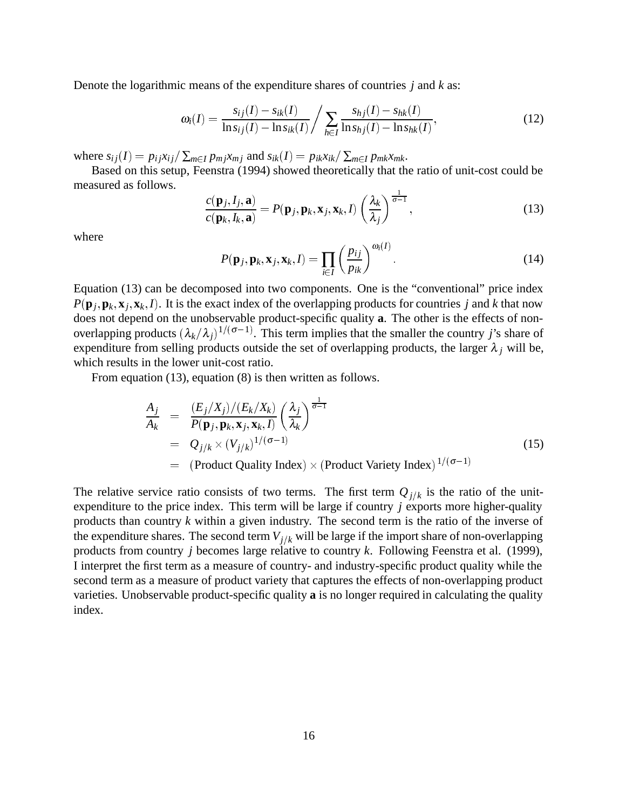Denote the logarithmic means of the expenditure shares of countries *j* and *k* as:

$$
\omega_i(I) = \frac{s_{ij}(I) - s_{ik}(I)}{\ln s_{ij}(I) - \ln s_{ik}(I)} / \sum_{h \in I} \frac{s_{hj}(I) - s_{hk}(I)}{\ln s_{hj}(I) - \ln s_{hk}(I)},
$$
(12)

where  $s_{ij}(I) = p_{ij}x_{ij}/\sum_{m \in I} p_{mj}x_{mj}$  and  $s_{ik}(I) = p_{ik}x_{ik}/\sum_{m \in I} p_{mk}x_{mk}$ .

Based on this setup, Feenstra (1994) showed theoretically that the ratio of unit-cost could be measured as follows.

$$
\frac{c(\mathbf{p}_j, I_j, \mathbf{a})}{c(\mathbf{p}_k, I_k, \mathbf{a})} = P(\mathbf{p}_j, \mathbf{p}_k, \mathbf{x}_j, \mathbf{x}_k, I) \left(\frac{\lambda_k}{\lambda_j}\right)^{\frac{1}{\sigma - 1}},
$$
\n(13)

where

$$
P(\mathbf{p}_j, \mathbf{p}_k, \mathbf{x}_j, \mathbf{x}_k, I) = \prod_{i \in I} \left( \frac{p_{ij}}{p_{ik}} \right)^{\omega_i(I)}.
$$
 (14)

Equation (13) can be decomposed into two components. One is the "conventional" price index  $P(\mathbf{p}_j, \mathbf{p}_k, \mathbf{x}_j, \mathbf{x}_k, I)$ . It is the exact index of the overlapping products for countries *j* and *k* that now does not depend on the unobservable product-specific quality **a**. The other is the effects of nonoverlapping products  $(\lambda_k/\lambda_j)^{1/(\sigma-1)}$ . This term implies that the smaller the country *j*'s share of expenditure from selling products outside the set of overlapping products, the larger  $\lambda_j$  will be, which results in the lower unit-cost ratio.

From equation (13), equation (8) is then written as follows.

$$
\frac{A_j}{A_k} = \frac{(E_j/X_j)/(E_k/X_k)}{P(\mathbf{p}_j, \mathbf{p}_k, \mathbf{x}_j, \mathbf{x}_k, I)} \left(\frac{\lambda_j}{\lambda_k}\right)^{\frac{1}{\sigma-1}}
$$
\n
$$
= Q_{j/k} \times (V_{j/k})^{1/(\sigma-1)}
$$
\n
$$
= (\text{Product Quality Index}) \times (\text{Product Variety Index})^{1/(\sigma-1)}
$$
\n(15)

The relative service ratio consists of two terms. The first term  $Q_{j/k}$  is the ratio of the unitexpenditure to the price index. This term will be large if country *j* exports more higher-quality products than country *k* within a given industry. The second term is the ratio of the inverse of the expenditure shares. The second term  $V_{j/k}$  will be large if the import share of non-overlapping products from country *j* becomes large relative to country *k*. Following Feenstra et al. (1999), I interpret the first term as a measure of country- and industry-specific product quality while the second term as a measure of product variety that captures the effects of non-overlapping product varieties. Unobservable product-specific quality **a** is no longer required in calculating the quality index.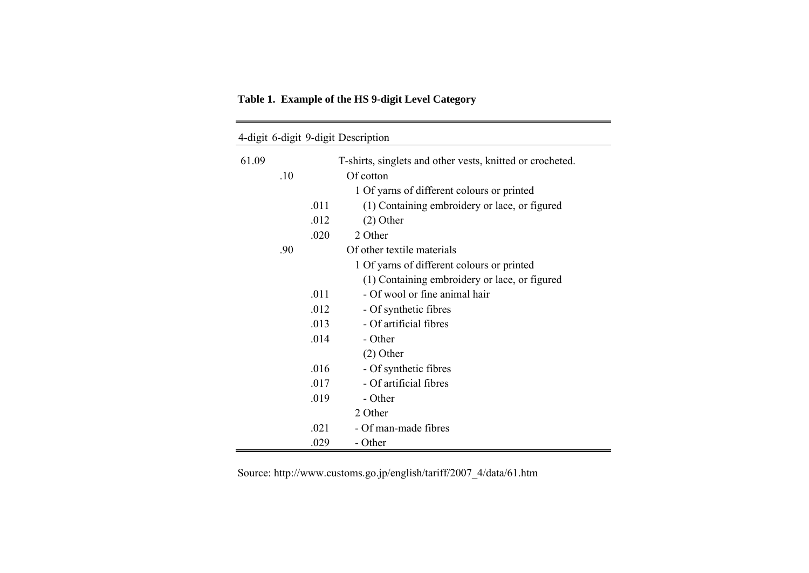**Table 1. Example of the HS 9-digit Level Category**

|       |     |      | 4-digit 6-digit 9-digit Description                       |
|-------|-----|------|-----------------------------------------------------------|
| 61.09 |     |      | T-shirts, singlets and other vests, knitted or crocheted. |
|       | .10 |      | Of cotton                                                 |
|       |     |      | 1 Of yarns of different colours or printed                |
|       |     | .011 | (1) Containing embroidery or lace, or figured             |
|       |     | .012 | $(2)$ Other                                               |
|       |     | .020 | 2 Other                                                   |
|       | .90 |      | Of other textile materials                                |
|       |     |      | 1 Of yarns of different colours or printed                |
|       |     |      | (1) Containing embroidery or lace, or figured             |
|       |     | .011 | - Of wool or fine animal hair                             |
|       |     | .012 | - Of synthetic fibres                                     |
|       |     | .013 | - Of artificial fibres                                    |
|       |     | .014 | - Other                                                   |
|       |     |      | $(2)$ Other                                               |
|       |     | .016 | - Of synthetic fibres                                     |
|       |     | .017 | - Of artificial fibres                                    |
|       |     | .019 | - Other                                                   |
|       |     |      | 2 Other                                                   |
|       |     | .021 | - Of man-made fibres                                      |
|       |     | .029 | - Other                                                   |

Source: http://www.customs.go.jp/english/tariff/2007\_4/data/61.htm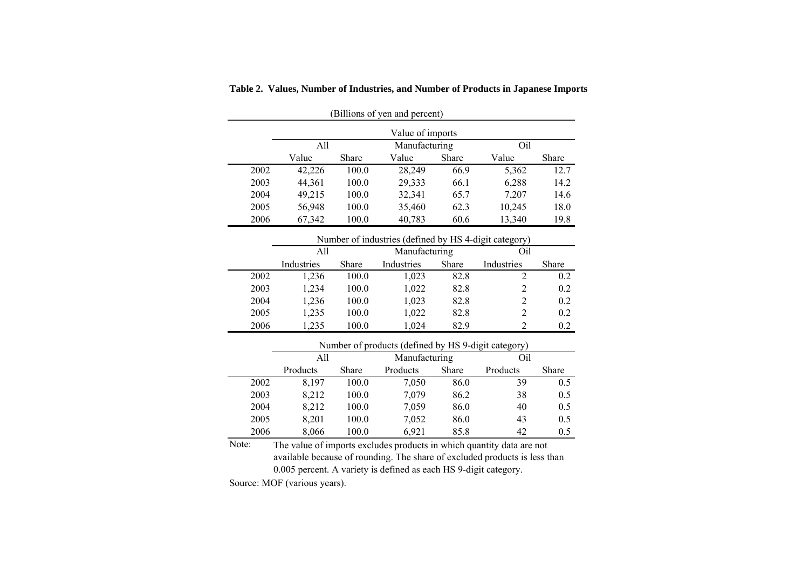| (Billions of yen and percent) |                                             |       |               |       |        |       |  |  |  |  |
|-------------------------------|---------------------------------------------|-------|---------------|-------|--------|-------|--|--|--|--|
| Value of imports              |                                             |       |               |       |        |       |  |  |  |  |
|                               | All                                         |       | Manufacturing |       | Oil    |       |  |  |  |  |
|                               | Value                                       | Share | Value         | Share | Value  | Share |  |  |  |  |
| 2002                          | 42,226                                      | 100.0 | 28,249        | 66.9  | 5,362  | 12.7  |  |  |  |  |
| 2003                          | 44,361                                      | 100.0 | 29,333        | 66.1  | 6,288  | 14.2  |  |  |  |  |
| 2004                          | 49,215                                      | 100.0 | 32,341        | 65.7  | 7.207  | 14.6  |  |  |  |  |
| 2005                          | 56,948                                      | 100.0 | 35,460        | 62.3  | 10,245 | 18.0  |  |  |  |  |
| 2006                          | 40,783<br>67,342<br>13,340<br>100.0<br>60.6 |       |               |       |        |       |  |  |  |  |

**Table 2. Values, Number of Industries, and Number of Products in Japanese Imports**

|      | Number of industries (defined by HS 4-digit category) |              |               |       |                             |              |  |  |  |  |  |
|------|-------------------------------------------------------|--------------|---------------|-------|-----------------------------|--------------|--|--|--|--|--|
|      | A11                                                   |              | Manufacturing |       | Oil                         |              |  |  |  |  |  |
|      | Industries                                            | <b>Share</b> | Industries    | Share | Industries                  | <b>Share</b> |  |  |  |  |  |
| 2002 | 1,236                                                 | 100.0        | 1,023         | 82.8  |                             | 0.2          |  |  |  |  |  |
| 2003 | 1.234                                                 | 100.0        | 1,022         | 82.8  |                             | 0.2          |  |  |  |  |  |
| 2004 | 1,236                                                 | 100.0        | 1,023         | 82.8  | 2                           | 0.2          |  |  |  |  |  |
| 2005 | 1,235                                                 | 100.0        | 1,022         | 82.8  | $\mathcal{D}_{\mathcal{L}}$ | 0.2          |  |  |  |  |  |
| 2006 | 1.235                                                 | 100.0        | 1.024         | 82.9  |                             | 0.2          |  |  |  |  |  |

|      | Number of products (defined by HS 9-digit category) |              |               |              |          |              |  |  |  |  |
|------|-----------------------------------------------------|--------------|---------------|--------------|----------|--------------|--|--|--|--|
|      | A11                                                 |              | Manufacturing |              | Oil      |              |  |  |  |  |
|      | Products                                            | <b>Share</b> | Products      | <b>Share</b> | Products | <b>Share</b> |  |  |  |  |
| 2002 | 8.197                                               | 100.0        | 7.050         | 86.0         | 39       | 0.5          |  |  |  |  |
| 2003 | 8,212                                               | 100.0        | 7,079         | 86.2         | 38       | 0.5          |  |  |  |  |
| 2004 | 8,212                                               | 100.0        | 7.059         | 86.0         | 40       | 0.5          |  |  |  |  |
| 2005 | 8.201                                               | 100.0        | 7,052         | 86.0         | 43       | 0.5          |  |  |  |  |
| 2006 | 8,066                                               | 100.0        | 6.921         | 85.8         | 42       | 0.5          |  |  |  |  |

Note: The value of imports excludes products in which quantity data are not available because of rounding. The share of excluded products is less than 0.005 percent. A variety is defined as each HS 9-digit category.

Source: MOF (various years).

 $\overline{\phantom{a}}$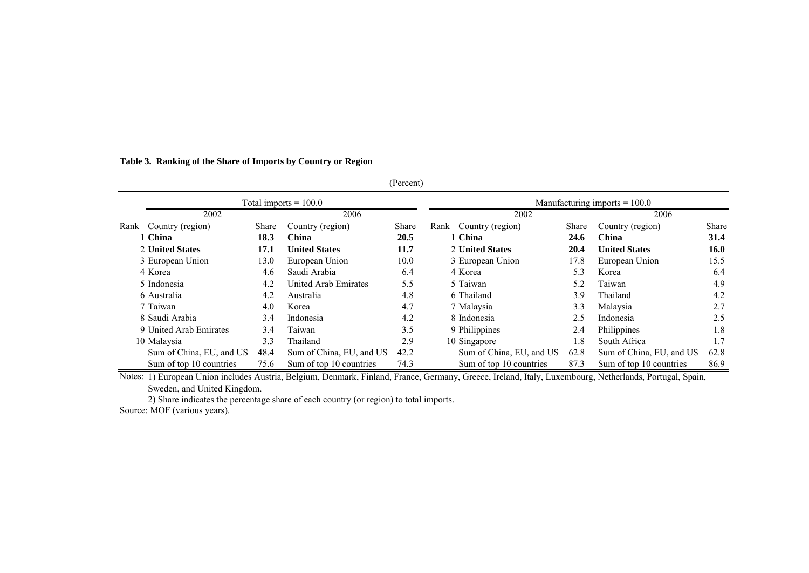#### **Table 3. Ranking of the Share of Imports by Country or Region**

|      |                          |       |                             | (Percent) |                          |       |                                 |              |
|------|--------------------------|-------|-----------------------------|-----------|--------------------------|-------|---------------------------------|--------------|
|      |                          |       | Total imports $= 100.0$     |           |                          |       | Manufacturing imports $= 100.0$ |              |
|      | 2002                     |       | 2006                        |           | 2002                     |       | 2006                            |              |
| Rank | Country (region)         | Share | Country (region)            | Share     | Country (region)<br>Rank | Share | Country (region)                | <b>Share</b> |
|      | 1 China                  | 18.3  | <b>China</b>                | 20.5      | 1 China                  | 24.6  | China                           | 31.4         |
|      | 2 United States          | 17.1  | <b>United States</b>        | 11.7      | 2 United States          | 20.4  | <b>United States</b>            | <b>16.0</b>  |
|      | 3 European Union         | 13.0  | European Union              | 10.0      | 3 European Union         | 17.8  | European Union                  | 15.5         |
|      | 4 Korea                  | 4.6   | Saudi Arabia                | 6.4       | 4 Korea                  | 5.3   | Korea                           | 6.4          |
|      | 5 Indonesia              | 4.2   | <b>United Arab Emirates</b> | 5.5       | 5 Taiwan                 | 5.2   | Taiwan                          | 4.9          |
|      | 6 Australia              | 4.2   | Australia                   | 4.8       | 6 Thailand               | 3.9   | Thailand                        | 4.2          |
|      | 7 Taiwan                 | 4.0   | Korea                       | 4.7       | 7 Malaysia               | 3.3   | Malaysia                        | 2.7          |
|      | 8 Saudi Arabia           | 3.4   | Indonesia                   | 4.2       | 8 Indonesia              | 2.5   | Indonesia                       | 2.5          |
|      | 9 United Arab Emirates   | 3.4   | Taiwan                      | 3.5       | 9 Philippines            | 2.4   | Philippines                     | 1.8          |
|      | 10 Malaysia              | 3.3   | Thailand                    | 2.9       | 10 Singapore             | 1.8   | South Africa                    | 1.7          |
|      | Sum of China, EU, and US | 48.4  | Sum of China, EU, and US    | 42.2      | Sum of China, EU, and US | 62.8  | Sum of China, EU, and US        | 62.8         |
|      | Sum of top 10 countries  | 75.6  | Sum of top 10 countries     | 74.3      | Sum of top 10 countries  | 87.3  | Sum of top 10 countries         | 86.9         |

Notes: 1) European Union includes Austria, Belgium, Denmark, Finland, France, Germany, Greece, Ireland, Italy, Luxembourg, Netherlands, Portugal, Spain, Sweden, and United Kingdom.

2) Share indicates the percentage share of each country (or region) to total imports.

Source: MOF (various years).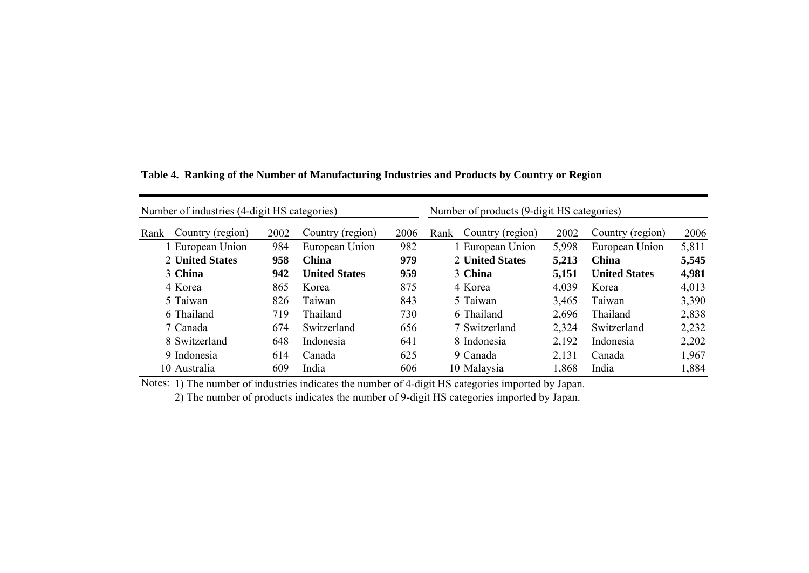| Number of industries (4-digit HS categories) |      | Number of products (9-digit HS categories) |      |                          |       |                      |       |
|----------------------------------------------|------|--------------------------------------------|------|--------------------------|-------|----------------------|-------|
| Country (region)<br>Rank                     | 2002 | Country (region)                           | 2006 | Country (region)<br>Rank | 2002  | Country (region)     | 2006  |
| 1 European Union                             | 984  | European Union                             | 982  | 1 European Union         | 5,998 | European Union       | 5,811 |
| 2 United States                              | 958  | <b>China</b>                               | 979  | 2 United States          | 5,213 | China                | 5,545 |
| 3 China                                      | 942  | <b>United States</b>                       | 959  | 3 China                  | 5,151 | <b>United States</b> | 4,981 |
| 4 Korea                                      | 865  | Korea                                      | 875  | 4 Korea                  | 4,039 | Korea                | 4,013 |
| 5 Taiwan                                     | 826  | Taiwan                                     | 843  | 5 Taiwan                 | 3,465 | Taiwan               | 3,390 |
| 6 Thailand                                   | 719  | Thailand                                   | 730  | 6 Thailand               | 2,696 | Thailand             | 2,838 |
| 7 Canada                                     | 674  | Switzerland                                | 656  | 7 Switzerland            | 2,324 | Switzerland          | 2,232 |
| 8 Switzerland                                | 648  | Indonesia                                  | 641  | 8 Indonesia              | 2,192 | Indonesia            | 2,202 |
| 9 Indonesia                                  | 614  | Canada                                     | 625  | 9 Canada                 | 2,131 | Canada               | 1,967 |
| 10 Australia                                 | 609  | India                                      | 606  | 10 Malaysia              | 1,868 | India                | 1,884 |

**Table 4. Ranking of the Number of Manufacturing Industries and Products by Country or Region**

Notes: 1) The number of industries indicates the number of 4-digit HS categories imported by Japan.

2) The number of products indicates the number of 9-digit HS categories imported by Japan.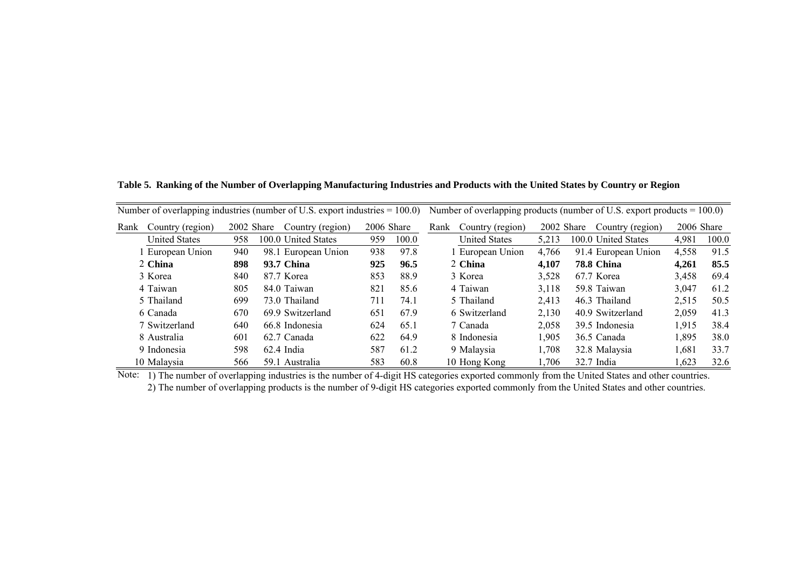Number of overlapping industries (number of U.S. export industries = 100.0) Number of overlapping products (number of U.S. export products = 100.0) Rank Country (region) Country (region) 2002 Share Country (region) 2006 Share Rank Country (region) 2002 Share Country (region) 2006 Share United States 958 100.0 United States 959 100.0 United States 5,213 100.0 United States 4,981 100.0 1 European Union 940 98.1 European Union 938 97.8 1 European Union 4,766 91.4 European Union 4,558 91.5 2 China **China 898 93.7 China 925 96.5** 2 **China 4,107 78.8 China 4,261 85.5** 3 Korea 840 87.7 Korea 853 88.9 3 Korea 3,528 67.7 Korea 3,458 69.4 4 Taiwan 805 84.0 Taiwan 821 85.6 4 Taiwan 3,118 59.8 Taiwan 3,047 61.2 5 Thailand 699 73.0 Thailand 711 74.1 5 Thailand 2,413 46.3 Thailand 2,515 50.5 6 Canada 670 69.9 Switzerland 651 67.9 6 Switzerland 2,130 40.9 Switzerland 2,059 41.3 7 Switzerland 640 66.8 Indonesia 624 65.1 7 Canada 2,058 39.5 Indonesia 1,915 38.4 8 Australia 601 62.7 Canada 622 64.9 8 Indonesia 1,905 36.5 Canada 1,895 38.0 9 Indonesia 598 62.4 India 587 61.2 9 Malaysia 1,708 32.8 Malaysia 1,681 33.7 10 Malaysia 566 59.1 Australia 583 60.8 10 Hong Kong 1,706 32.7 India 1,623 32.6

**Table 5. Ranking of the Number of Overlapping Manufacturing Industries and Products with the United States by Country or Regio n**

Note: 1) The number of overlapping industries is the number of 4-digit HS categories exported commonly from the United States and other countries. 2) The number of overlapping products is the number of 9-digit HS categories exported commonly from the United States and other countries.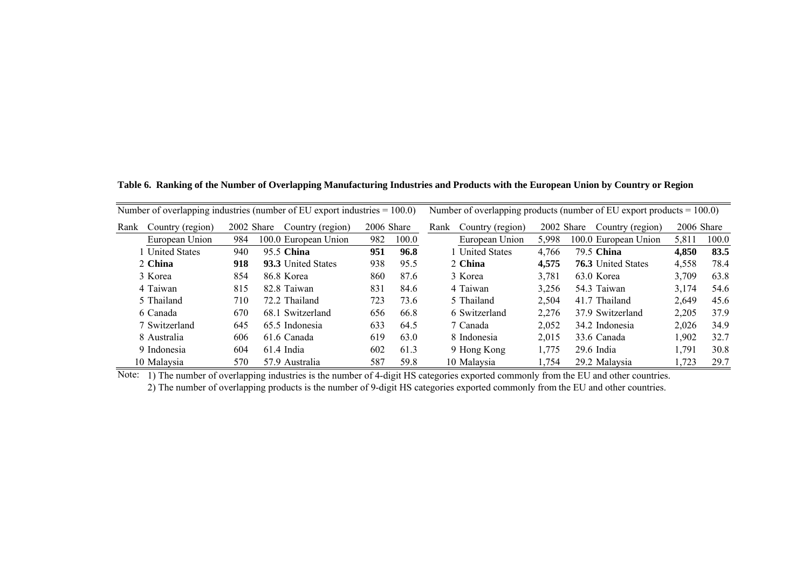**Table 6. Ranking of the Number of Overlapping Manufacturing Industries and Products with the European Union by Country or Region**

| Number of overlapping industries (number of EU export industries $= 100.0$ ) |                      |            |                      |            |       |                          | Number of overlapping products (number of EU export products $= 100.0$ ) |                           |            |       |
|------------------------------------------------------------------------------|----------------------|------------|----------------------|------------|-------|--------------------------|--------------------------------------------------------------------------|---------------------------|------------|-------|
| Rank                                                                         | Country (region)     | 2002 Share | Country (region)     | 2006 Share |       | Country (region)<br>Rank | 2002 Share                                                               | Country (region)          | 2006 Share |       |
|                                                                              | European Union       | 984        | 100.0 European Union | 982        | 100.0 | European Union           | 5.998                                                                    | 100.0 European Union      | 5,811      | 100.0 |
|                                                                              | <b>United States</b> | 940        | 95.5 China           | 951        | 96.8  | 1 United States          | 4.766                                                                    | 79.5 China                | 4,850      | 83.5  |
|                                                                              | 2 China              | 918        | 93.3 United States   | 938        | 95.5  | 2 China                  | 4.575                                                                    | <b>76.3</b> United States | 4,558      | 78.4  |
|                                                                              | 3 Korea              | 854        | 86.8 Korea           | 860        | 87.6  | 3 Korea                  | 3.781                                                                    | 63.0 Korea                | 3,709      | 63.8  |
|                                                                              | 4 Taiwan             | 815        | 82.8 Taiwan          | 831        | 84.6  | 4 Taiwan                 | 3,256                                                                    | 54.3 Taiwan               | 3,174      | 54.6  |
|                                                                              | 5 Thailand           | 710        | 72.2 Thailand        | 723        | 73.6  | 5 Thailand               | 2.504                                                                    | 41.7 Thailand             | 2.649      | 45.6  |
|                                                                              | 6 Canada             | 670        | 68.1 Switzerland     | 656        | 66.8  | 6 Switzerland            | 2,276                                                                    | 37.9 Switzerland          | 2,205      | 37.9  |
|                                                                              | 7 Switzerland        | 645        | 65.5 Indonesia       | 633        | 64.5  | 7 Canada                 | 2,052                                                                    | 34.2 Indonesia            | 2,026      | 34.9  |
|                                                                              | 8 Australia          | 606        | 61.6 Canada          | 619        | 63.0  | 8 Indonesia              | 2,015                                                                    | 33.6 Canada               | 1.902      | 32.7  |
|                                                                              | 9 Indonesia          | 604        | $61.4$ India         | 602        | 61.3  | 9 Hong Kong              | 1,775                                                                    | $29.6$ India              | 1,791      | 30.8  |
|                                                                              | 10 Malaysia          | 570        | 57.9 Australia       | 587        | 59.8  | 10 Malaysia              | 1,754                                                                    | 29.2 Malaysia             | 1,723      | 29.7  |

Note: 1) The number of overlapping industries is the number of 4-digit HS categories exported commonly from the EU and other countries.

2) The number of overlapping products is the number of 9-digit HS categories exported commonly from the EU and other countries.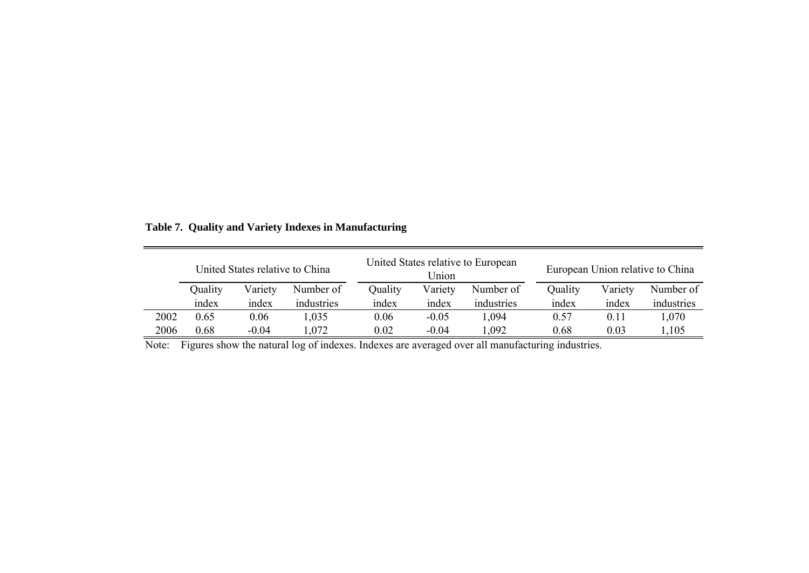|      | United States relative to China |         |            |         | Union   | United States relative to European | European Union relative to China |         |            |  |
|------|---------------------------------|---------|------------|---------|---------|------------------------------------|----------------------------------|---------|------------|--|
|      | Quality                         | Variety | Number of  | Quality | Variety | Number of                          | Quality                          | Variety | Number of  |  |
|      | index                           | index   | industries | index   | index   | industries                         | index                            | index   | industries |  |
| 2002 | 0.65                            | 0.06    | 1,035      | 0.06    | $-0.05$ | 1,094                              | 0.57                             | 0.11    | 1,070      |  |
| 2006 | 0.68                            | $-0.04$ | .072       | 0.02    | $-0.04$ | .092                               | 0.68                             | 0.03    | ,105       |  |

**Table 7. Quality and Variety Indexes in Manufacturing**

Note: Figures show the natural log of indexes. Indexes are averaged over all manufacturing industries.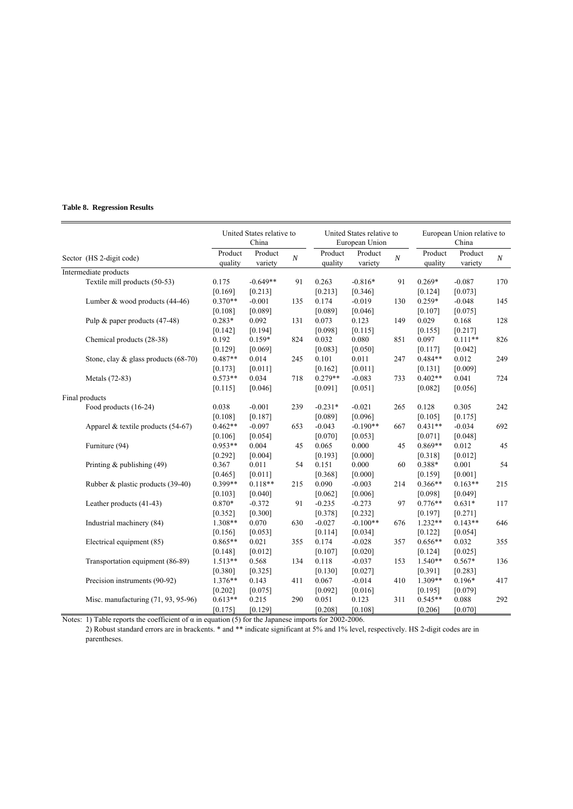#### **Table 8. Regression Results**

|                          |                                         | United States relative to<br>China |                    |                | United States relative to<br>European Union |                    |          | European Union relative to<br>China |                    |          |
|--------------------------|-----------------------------------------|------------------------------------|--------------------|----------------|---------------------------------------------|--------------------|----------|-------------------------------------|--------------------|----------|
| Sector (HS 2-digit code) |                                         | Product<br>quality                 | Product<br>variety | $\overline{N}$ | Product<br>quality                          | Product<br>variety | $\cal N$ | Product<br>quality                  | Product<br>variety | $\cal N$ |
|                          | Intermediate products                   |                                    |                    |                |                                             |                    |          |                                     |                    |          |
|                          | Textile mill products (50-53)           | 0.175                              | $-0.649**$         | 91             | 0.263                                       | $-0.816*$          | 91       | $0.269*$                            | $-0.087$           | 170      |
|                          |                                         | [0.169]                            | [0.213]            |                | [0.213]                                     | [0.346]            |          | [0.124]                             | [0.073]            |          |
|                          | Lumber & wood products (44-46)          | $0.370**$                          | $-0.001$           | 135            | 0.174                                       | $-0.019$           | 130      | $0.259*$                            | $-0.048$           | 145      |
|                          |                                         | [0.108]                            | [0.089]            |                | [0.089]                                     | [0.046]            |          | [0.107]                             | [0.075]            |          |
|                          | Pulp & paper products (47-48)           | $0.283*$                           | 0.092              | 131            | 0.073                                       | 0.123              | 149      | 0.029                               | 0.168              | 128      |
|                          |                                         | [0.142]                            | [0.194]            |                | [0.098]                                     | [0.115]            |          | [0.155]                             | [0.217]            |          |
|                          | Chemical products (28-38)               | 0.192                              | $0.159*$           | 824            | 0.032                                       | 0.080              | 851      | 0.097                               | $0.111**$          | 826      |
|                          |                                         | [0.129]                            | [0.069]            |                | [0.083]                                     | [0.050]            |          | [0.117]                             | [0.042]            |          |
|                          | Stone, clay $\&$ glass products (68-70) | $0.487**$                          | 0.014              | 245            | 0.101                                       | 0.011              | 247      | $0.484**$                           | 0.012              | 249      |
|                          |                                         | [0.173]                            | [0.011]            |                | [0.162]                                     | [0.011]            |          | [0.131]                             | [0.009]            |          |
|                          | Metals (72-83)                          | $0.573**$                          | 0.034              | 718            | $0.279**$                                   | $-0.083$           | 733      | $0.402**$                           | 0.041              | 724      |
|                          |                                         | [0.115]                            | [0.046]            |                | [0.091]                                     | [0.051]            |          | [0.082]                             | [0.056]            |          |
|                          | Final products                          |                                    |                    |                |                                             |                    |          |                                     |                    |          |
|                          | Food products (16-24)                   | 0.038                              | $-0.001$           | 239            | $-0.231*$                                   | $-0.021$           | 265      | 0.128                               | 0.305              | 242      |
|                          |                                         | [0.108]                            | [0.187]            |                | [0.089]                                     | [0.096]            |          | [0.105]                             | [0.175]            |          |
|                          | Apparel & textile products $(54-67)$    | $0.462**$                          | $-0.097$           | 653            | $-0.043$                                    | $-0.190**$         | 667      | $0.431**$                           | $-0.034$           | 692      |
|                          |                                         | [0.106]                            | [0.054]            |                | [0.070]                                     | [0.053]            |          | [0.071]                             | [0.048]            |          |
|                          | Furniture (94)                          | $0.953**$                          | 0.004              | 45             | 0.065                                       | 0.000              | 45       | $0.869**$                           | 0.012              | 45       |
|                          |                                         | [0.292]                            | [0.004]            |                | [0.193]                                     | [0.000]            |          | [0.318]                             | [0.012]            |          |
|                          | Printing $&$ publishing (49)            | 0.367                              | 0.011              | 54             | 0.151                                       | 0.000              | 60       | 0.388*                              | 0.001              | 54       |
|                          |                                         | [0.465]                            | [0.011]            |                | [0.368]                                     | [0.000]            |          | [0.159]                             | [0.001]            |          |
|                          | Rubber & plastic products (39-40)       | 0.399**                            | $0.118**$          | 215            | 0.090                                       | $-0.003$           | 214      | $0.366**$                           | $0.163**$          | 215      |
|                          |                                         | [0.103]                            | [0.040]            |                | [0.062]                                     | [0.006]            |          | [0.098]                             | [0.049]            |          |
|                          | Leather products (41-43)                | 0.870*                             | $-0.372$           | 91             | $-0.235$                                    | $-0.273$           | 97       | $0.776**$                           | $0.631*$           | 117      |
|                          |                                         | [0.352]                            | [0.300]            |                | [0.378]                                     | [0.232]            |          | [0.197]                             | [0.271]            |          |
|                          | Industrial machinery (84)               | 1.308**                            | 0.070              | 630            | $-0.027$                                    | $-0.100**$         | 676      | $1.232**$                           | $0.143**$          | 646      |
|                          |                                         | [0.156]                            | [0.053]            |                | [0.114]                                     | [0.034]            |          | [0.122]                             | [0.054]            |          |
|                          | Electrical equipment (85)               | $0.865**$                          | 0.021              | 355            | 0.174                                       | $-0.028$           | 357      | $0.656**$                           | 0.032              | 355      |
|                          |                                         | [0.148]                            | [0.012]            |                | [0.107]                                     | [0.020]            |          | [0.124]                             | [0.025]            |          |
|                          | Transportation equipment (86-89)        | $1.513**$                          | 0.568              | 134            | 0.118                                       | $-0.037$           | 153      | $1.540**$                           | $0.567*$           | 136      |
|                          |                                         | [0.380]                            | [0.325]            |                | [0.130]                                     | [0.027]            |          | [0.391]                             | [0.283]            |          |
|                          | Precision instruments (90-92)           | $1.376**$                          | 0.143              | 411            | 0.067                                       | $-0.014$           | 410      | 1.309**                             | $0.196*$           | 417      |
|                          |                                         | [0.202]                            | [0.075]            |                | [0.092]                                     | [0.016]            |          | [0.195]                             | [0.079]            |          |
|                          | Misc. manufacturing (71, 93, 95-96)     | $0.613**$                          | 0.215              | 290            | 0.051                                       | 0.123              | 311      | $0.545**$                           | 0.088              | 292      |
|                          |                                         | [0.175]                            | [0.129]            |                | [0.208]                                     | [0.108]            |          | [0.206]                             | [0.070]            |          |

Notes: 1) Table reports the coefficient of  $\alpha$  in equation (5) for the Japanese imports for 2002-2006.

2) Robust standard errors are in brackents. \* and \*\* indicate significant at 5% and 1% level, respectively. HS 2-digit codes are in parentheses.